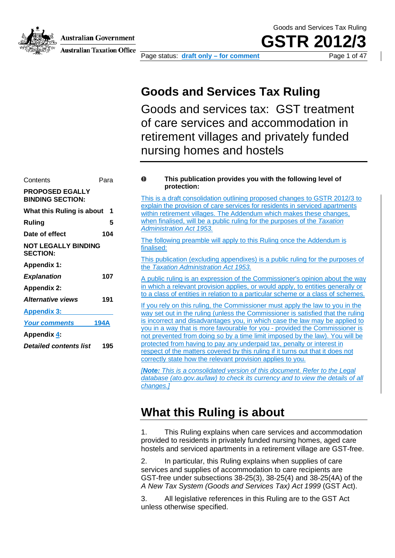Australian Government

**Australian Taxation Office** 

Page status: **draft only – for comment** Page 1 of 47

Goods and Services Tax Ruling

**GSTR 20** 

### **Goods and Services Tax Ruling**

Goods and services tax: GST treatment of care services and accommodation in retirement villages and privately funded nursing homes and hostels

| Contents                                          | Para           |
|---------------------------------------------------|----------------|
| <b>PROPOSED EGALLY</b><br><b>BINDING SECTION:</b> |                |
| What this Ruling is about                         | $\blacksquare$ |
| Ruling                                            | 5              |
| Date of effect                                    | 104            |
| <b>NOT LEGALLY BINDING</b><br><b>SECTION:</b>     |                |
| <b>Appendix 1:</b>                                |                |
| <b>Explanation</b>                                | 107            |
| <b>Appendix 2:</b>                                |                |
| <b>Alternative views</b>                          | 191            |
| <b>Appendix 3:</b>                                |                |
| <b>Your comments</b>                              | 194A           |
| Appendix 4:                                       |                |
| <b>Detailed contents list</b>                     | 195            |

#### Ô **This publication provides you with the following level of protection:**

This is a draft consolidation outlining proposed changes to GSTR 2012/3 to explain the provision of care services for residents in serviced apartments within retirement villages. The Addendum which makes these changes, when finalised, will be a public ruling for the purposes of the *Taxation Administration Act 1953.*

The following preamble will apply to this Ruling once the Addendum is finalised:

This publication (excluding appendixes) is a public ruling for the purposes of the *Taxation Administration Act 1953.*

A public ruling is an expression of the Commissioner's opinion about the way in which a relevant provision applies, or would apply, to entities generally or to a class of entities in relation to a particular scheme or a class of schemes.

If you rely on this ruling, the Commissioner must apply the law to you in the way set out in the ruling (unless the Commissioner is satisfied that the ruling is incorrect and disadvantages you, in which case the law may be applied to you in a way that is more favourable for you - provided the Commissioner is not prevented from doing so by a time limit imposed by the law). You will be protected from having to pay any underpaid tax, penalty or interest in respect of the matters covered by this ruling if it turns out that it does not correctly state how the relevant provision applies to you.

*[Note: This is a consolidated version of this document. Refer to the Legal database (ato.gov.au/law) to check its currency and to view the details of all changes.]*

### **What this Ruling is about**

1. This Ruling explains when care services and accommodation provided to residents in privately funded nursing homes, aged care hostels and serviced apartments in a retirement village are GST-free.

2. In particular, this Ruling explains when supplies of care services and supplies of accommodation to care recipients are GST-free under subsections 38-25(3), 38-25(4) and 38-25(4A) of the *A New Tax System (Goods and Services Tax) Act 1999* (GST Act).

3. All legislative references in this Ruling are to the GST Act unless otherwise specified.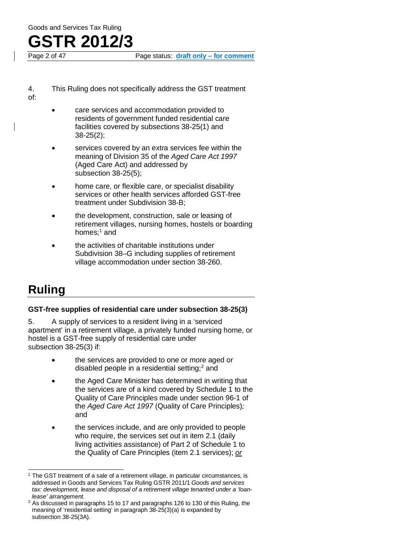Page status: **draft only – for comment** 

- 4. This Ruling does not specifically address the GST treatment of:
	- care services and accommodation provided to residents of government funded residential care facilities covered by subsections 38-25(1) and 38-25(2);
	- services covered by an extra services fee within the meaning of Division 35 of the *Aged Care Act 1997* (Aged Care Act) and addressed by subsection 38-25(5);
	- home care, or flexible care, or specialist disability services or other health services afforded GST-free treatment under Subdivision 38-B;
	- the development, construction, sale or leasing of retirement villages, nursing homes, hostels or boarding homes; [1](#page-1-1) and
	- the activities of charitable institutions under Subdivision 38–G including supplies of retirement village accommodation under section 38-260.

### **Ruling**

#### **GST-free supplies of residential care under subsection 38-25(3)**

<span id="page-1-0"></span>5. A supply of services to a resident living in a 'serviced apartment' in a retirement village, a privately funded nursing home, or hostel is a GST-free supply of residential care under subsection 38-25(3) if:

- the services are provided to one or more aged or disabled people in a residential setting; [2](#page-1-2) and
- the Aged Care Minister has determined in writing that the services are of a kind covered by Schedule 1 to the Quality of Care Principles made under section 96-1 of the *Aged Care Act 1997* (Quality of Care Principles)*;* and
- the services include, and are only provided to people who require, the services set out in item 2.1 (daily living activities assistance) of Part 2 of Schedule 1 to the Quality of Care Principles (item 2.1 services); *or*

<span id="page-1-1"></span><sup>1</sup> The GST treatment of a sale of a retirement village, in particular circumstances, is addressed in Goods and Services Tax Ruling GSTR 2011/1 *Goods and services tax: development, lease and disposal of a retirement village tenanted under a 'loanlease' arrangement.*

<span id="page-1-2"></span><sup>&</sup>lt;sup>2</sup> As discussed in paragraphs 15 to 17 and paragraphs 126 to 130 of this Ruling, the meaning of 'residential setting' in paragraph 38-25(3)(a) is expanded by subsection 38-25(3A).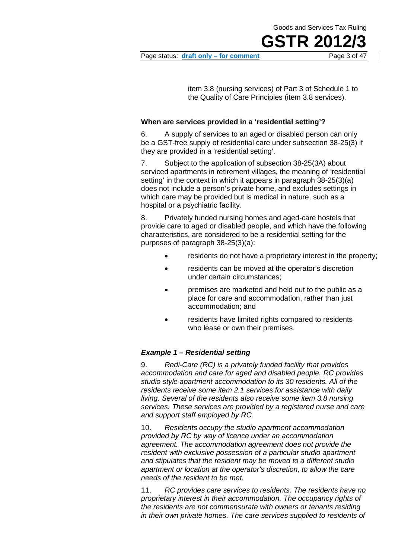Page status: **draft only – for comment** Page 3 of 47

Goods and Services Tax Ruling

**GSTR 201** 

item 3.8 (nursing services) of Part 3 of Schedule 1 to the Quality of Care Principles (item 3.8 services).

#### **When are services provided in a 'residential setting'?**

6. A supply of services to an aged or disabled person can only be a GST-free supply of residential care under subsection 38-25(3) if they are provided in a 'residential setting'.

7. Subject to the application of subsection 38-25(3A) about serviced apartments in retirement villages, the meaning of 'residential setting' in the context in which it appears in paragraph 38-25(3)(a) does not include a person's private home, and excludes settings in which care may be provided but is medical in nature, such as a hospital or a psychiatric facility.

8. Privately funded nursing homes and aged-care hostels that provide care to aged or disabled people, and which have the following characteristics, are considered to be a residential setting for the purposes of paragraph 38-25(3)(a):

- residents do not have a proprietary interest in the property;
- residents can be moved at the operator's discretion under certain circumstances;
- premises are marketed and held out to the public as a place for care and accommodation, rather than just accommodation; and
- residents have limited rights compared to residents who lease or own their premises.

#### *Example 1 – Residential setting*

9. *Redi-Care (RC) is a privately funded facility that provides accommodation and care for aged and disabled people. RC provides studio style apartment accommodation to its 30 residents. All of the residents receive some item 2.1 services for assistance with daily living. Several of the residents also receive some item 3.8 nursing services. These services are provided by a registered nurse and care and support staff employed by RC.*

10. *Residents occupy the studio apartment accommodation provided by RC by way of licence under an accommodation agreement. The accommodation agreement does not provide the resident with exclusive possession of a particular studio apartment and stipulates that the resident may be moved to a different studio apartment or location at the operator's discretion, to allow the care needs of the resident to be met.*

11. *RC provides care services to residents. The residents have no proprietary interest in their accommodation. The occupancy rights of the residents are not commensurate with owners or tenants residing in their own private homes. The care services supplied to residents of*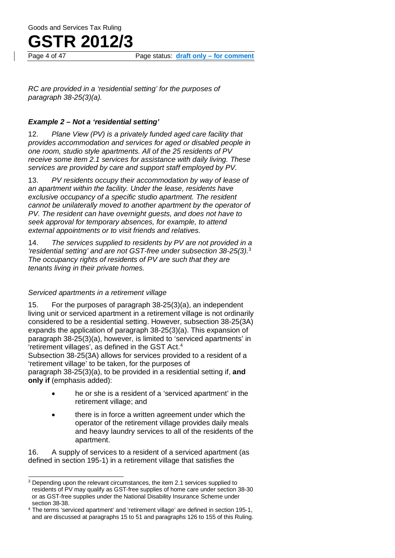

*RC are provided in a 'residential setting' for the purposes of paragraph 38-25(3)(a).*

#### *Example 2 – Not a 'residential setting'*

12. *Plane View (PV) is a privately funded aged care facility that provides accommodation and services for aged or disabled people in one room, studio style apartments. All of the 25 residents of PV receive some item 2.1 services for assistance with daily living. These services are provided by care and support staff employed by PV.*

13. *PV residents occupy their accommodation by way of lease of an apartment within the facility. Under the lease, residents have exclusive occupancy of a specific studio apartment. The resident cannot be unilaterally moved to another apartment by the operator of PV. The resident can have overnight guests, and does not have to seek approval for temporary absences, for example, to attend external appointments or to visit friends and relatives.*

14. *The services supplied to residents by PV are not provided in a 'residential setting' and are not GST-free under subsection 38-25(3).* [3](#page-3-0) *The occupancy rights of residents of PV are such that they are tenants living in their private homes.*

#### *Serviced apartments in a retirement village*

15. For the purposes of paragraph 38-25(3)(a), an independent living unit or serviced apartment in a retirement village is not ordinarily considered to be a residential setting. However, subsection 38-25(3A) expands the application of paragraph 38-25(3)(a). This expansion of paragraph 38-25(3)(a), however, is limited to 'serviced apartments' in 'retirement villages', as defined in the GST Act.[4](#page-3-1) Subsection 38-25(3A) allows for services provided to a resident of a 'retirement village' to be taken, for the purposes of paragraph 38-25(3)(a), to be provided in a residential setting if, **and only if** (emphasis added):

- he or she is a resident of a 'serviced apartment' in the retirement village; and
- there is in force a written agreement under which the operator of the retirement village provides daily meals and heavy laundry services to all of the residents of the apartment.

16. A supply of services to a resident of a serviced apartment (as defined in section 195-1) in a retirement village that satisfies the

<span id="page-3-0"></span><sup>&</sup>lt;sup>3</sup> Depending upon the relevant circumstances, the item 2.1 services supplied to residents of PV may qualify as GST-free supplies of home care under section 38-30 or as GST-free supplies under the National Disability Insurance Scheme under section 38-38.

<span id="page-3-1"></span><sup>4</sup> The terms 'serviced apartment' and 'retirement village' are defined in section 195-1, and are discussed at paragraphs 15 to 51 and paragraphs 126 to 155 of this Ruling.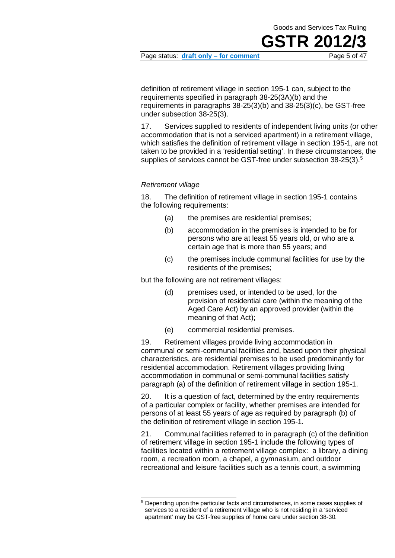## **GSTR 20**

Page status: **draft only – for comment** Page 5 of 47

definition of retirement village in section 195-1 can, subject to the requirements specified in paragraph 38-25(3A)(b) and the requirements in paragraphs 38-25(3)(b) and 38-25(3)(c), be GST-free under subsection 38-25(3).

17. Services supplied to residents of independent living units (or other accommodation that is not a serviced apartment) in a retirement village, which satisfies the definition of retirement village in section 195-1, are not taken to be provided in a 'residential setting'. In these circumstances, the supplies of services cannot be GST-free under subsection 38-25(3). [5](#page-4-0)

#### *Retirement village*

18. The definition of retirement village in section 195-1 contains the following requirements:

- (a) the premises are residential premises;
- (b) accommodation in the premises is intended to be for persons who are at least 55 years old, or who are a certain age that is more than 55 years; and
- (c) the premises include communal facilities for use by the residents of the premises;

but the following are not retirement villages:

- (d) premises used, or intended to be used, for the provision of residential care (within the meaning of the Aged Care Act) by an approved provider (within the meaning of that Act);
- (e) commercial residential premises.

19. Retirement villages provide living accommodation in communal or semi-communal facilities and, based upon their physical characteristics, are residential premises to be used predominantly for residential accommodation. Retirement villages providing living accommodation in communal or semi-communal facilities satisfy paragraph (a) of the definition of retirement village in section 195-1.

20. It is a question of fact, determined by the entry requirements of a particular complex or facility, whether premises are intended for persons of at least 55 years of age as required by paragraph (b) of the definition of retirement village in section 195-1.

21. Communal facilities referred to in paragraph (c) of the definition of retirement village in section 195-1 include the following types of facilities located within a retirement village complex: a library, a dining room, a recreation room, a chapel, a gymnasium, and outdoor recreational and leisure facilities such as a tennis court, a swimming

<span id="page-4-0"></span><sup>5</sup> Depending upon the particular facts and circumstances, in some cases supplies of services to a resident of a retirement village who is not residing in a 'serviced apartment' may be GST-free supplies of home care under section 38-30.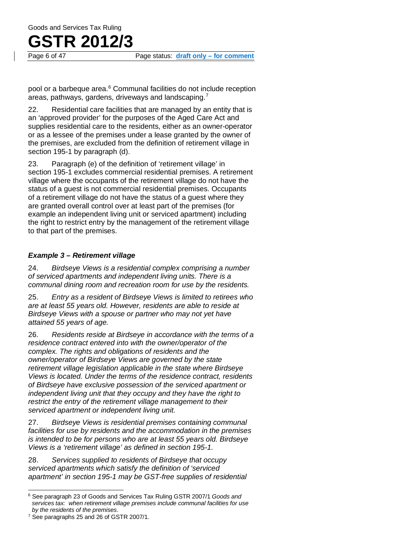## **GSTR 2012/3**

Page 6 of 47 Page status: **draft only – for comment**

pool or a barbeque area.<sup>6</sup> Communal facilities do not include reception areas, pathways, gardens, driveways and landscaping.[7](#page-5-1)

22. Residential care facilities that are managed by an entity that is an 'approved provider' for the purposes of the Aged Care Act and supplies residential care to the residents, either as an owner-operator or as a lessee of the premises under a lease granted by the owner of the premises, are excluded from the definition of retirement village in section 195-1 by paragraph (d).

23. Paragraph (e) of the definition of 'retirement village' in section 195-1 excludes commercial residential premises. A retirement village where the occupants of the retirement village do not have the status of a guest is not commercial residential premises. Occupants of a retirement village do not have the status of a guest where they are granted overall control over at least part of the premises (for example an independent living unit or serviced apartment) including the right to restrict entry by the management of the retirement village to that part of the premises.

#### *Example 3 – Retirement village*

24. *Birdseye Views is a residential complex comprising a number of serviced apartments and independent living units. There is a communal dining room and recreation room for use by the residents.*

25. *Entry as a resident of Birdseye Views is limited to retirees who are at least 55 years old. However, residents are able to reside at Birdseye Views with a spouse or partner who may not yet have attained 55 years of age.*

26. *Residents reside at Birdseye in accordance with the terms of a residence contract entered into with the owner/operator of the complex. The rights and obligations of residents and the owner/operator of Birdseye Views are governed by the state retirement village legislation applicable in the state where Birdseye Views is located. Under the terms of the residence contract, residents of Birdseye have exclusive possession of the serviced apartment or independent living unit that they occupy and they have the right to restrict the entry of the retirement village management to their serviced apartment or independent living unit.*

27. *Birdseye Views is residential premises containing communal facilities for use by residents and the accommodation in the premises is intended to be for persons who are at least 55 years old. Birdseye Views is a 'retirement village' as defined in section 195-1.*

28. *Services supplied to residents of Birdseye that occupy serviced apartments which satisfy the definition of 'serviced apartment' in section 195-1 may be GST-free supplies of residential* 

<span id="page-5-0"></span><sup>6</sup> See paragraph 23 of Goods and Services Tax Ruling GSTR 2007/1 *Goods and services tax: when retirement village premises include communal facilities for use by the residents of the premises*.

<span id="page-5-1"></span><sup>&</sup>lt;sup>7</sup> See paragraphs 25 and 26 of GSTR 2007/1.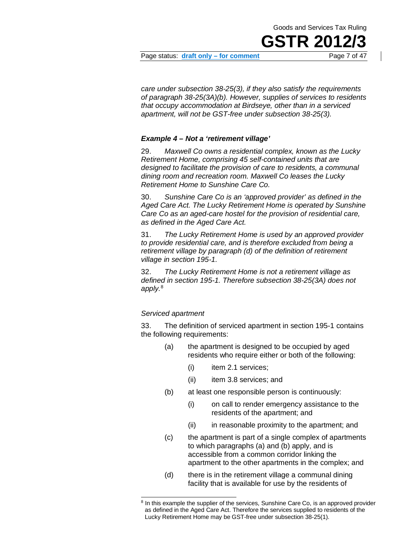Page status: draft only – for comment

*care under subsection 38-25(3), if they also satisfy the requirements of paragraph 38-25(3A)(b). However, supplies of services to residents that occupy accommodation at Birdseye, other than in a serviced apartment, will not be GST-free under subsection 38-25(3).*

#### *Example 4 – Not a 'retirement village'*

29. *Maxwell Co owns a residential complex, known as the Lucky Retirement Home, comprising 45 self-contained units that are designed to facilitate the provision of care to residents, a communal dining room and recreation room. Maxwell Co leases the Lucky Retirement Home to Sunshine Care Co.*

30. *Sunshine Care Co is an 'approved provider' as defined in the Aged Care Act. The Lucky Retirement Home is operated by Sunshine Care Co as an aged-care hostel for the provision of residential care, as defined in the Aged Care Act.*

31. *The Lucky Retirement Home is used by an approved provider to provide residential care, and is therefore excluded from being a retirement village by paragraph (d) of the definition of retirement village in section 195-1.*

32. *The Lucky Retirement Home is not a retirement village as defined in section 195-1. Therefore subsection 38-25(3A) does not apply.*[8](#page-6-0)

#### *Serviced apartment*

33. The definition of serviced apartment in section 195-1 contains the following requirements:

- (a) the apartment is designed to be occupied by aged residents who require either or both of the following:
	- (i) item 2.1 services;
	- (ii) item 3.8 services; and
- (b) at least one responsible person is continuously:
	- (i) on call to render emergency assistance to the residents of the apartment; and
	- (ii) in reasonable proximity to the apartment; and
- (c) the apartment is part of a single complex of apartments to which paragraphs (a) and (b) apply, and is accessible from a common corridor linking the apartment to the other apartments in the complex; and
- (d) there is in the retirement village a communal dining facility that is available for use by the residents of

<span id="page-6-0"></span><sup>&</sup>lt;sup>8</sup> In this example the supplier of the services, Sunshine Care Co, is an approved provider as defined in the Aged Care Act. Therefore the services supplied to residents of the Lucky Retirement Home may be GST-free under subsection 38-25(1).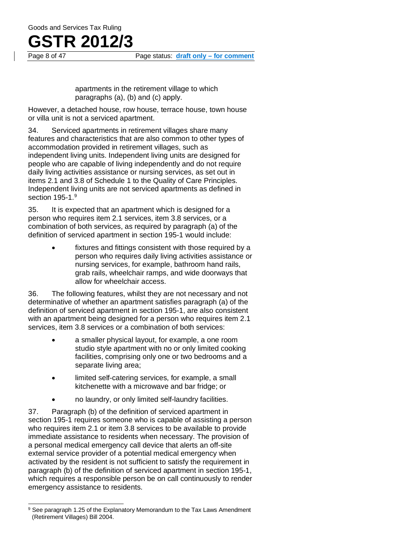apartments in the retirement village to which paragraphs (a), (b) and (c) apply.

However, a detached house, row house, terrace house, town house or villa unit is not a serviced apartment.

34. Serviced apartments in retirement villages share many features and characteristics that are also common to other types of accommodation provided in retirement villages, such as independent living units. Independent living units are designed for people who are capable of living independently and do not require daily living activities assistance or nursing services, as set out in items 2.1 and 3.8 of Schedule 1 to the Quality of Care Principles. Independent living units are not serviced apartments as defined in section 1[9](#page-7-0)5-1.<sup>9</sup>

35. It is expected that an apartment which is designed for a person who requires item 2.1 services, item 3.8 services, or a combination of both services, as required by paragraph (a) of the definition of serviced apartment in section 195-1 would include:

> fixtures and fittings consistent with those required by a person who requires daily living activities assistance or nursing services, for example, bathroom hand rails, grab rails, wheelchair ramps, and wide doorways that allow for wheelchair access.

36. The following features, whilst they are not necessary and not determinative of whether an apartment satisfies paragraph (a) of the definition of serviced apartment in section 195-1, are also consistent with an apartment being designed for a person who requires item 2.1 services, item 3.8 services or a combination of both services:

- a smaller physical layout, for example, a one room studio style apartment with no or only limited cooking facilities, comprising only one or two bedrooms and a separate living area;
- limited self-catering services, for example, a small kitchenette with a microwave and bar fridge; or
- no laundry, or only limited self-laundry facilities.

37. Paragraph (b) of the definition of serviced apartment in section 195-1 requires someone who is capable of assisting a person who requires item 2.1 or item 3.8 services to be available to provide immediate assistance to residents when necessary. The provision of a personal medical emergency call device that alerts an off-site external service provider of a potential medical emergency when activated by the resident is not sufficient to satisfy the requirement in paragraph (b) of the definition of serviced apartment in section 195-1, which requires a responsible person be on call continuously to render emergency assistance to residents.

<span id="page-7-0"></span><sup>&</sup>lt;sup>9</sup> See paragraph 1.25 of the Explanatory Memorandum to the Tax Laws Amendment (Retirement Villages) Bill 2004.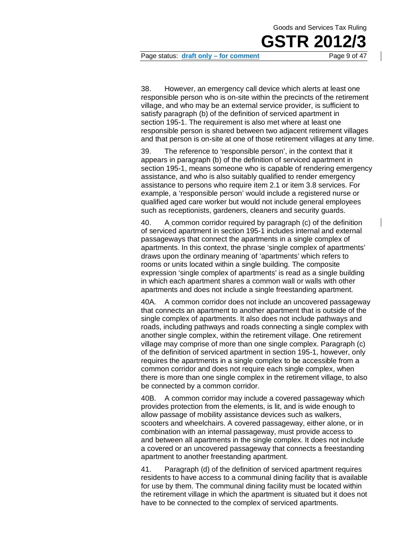

Page status: **draft only – for comment** Page 9 of 47

38. However, an emergency call device which alerts at least one responsible person who is on-site within the precincts of the retirement village, and who may be an external service provider, is sufficient to satisfy paragraph (b) of the definition of serviced apartment in section 195-1. The requirement is also met where at least one responsible person is shared between two adjacent retirement villages and that person is on-site at one of those retirement villages at any time.

39. The reference to 'responsible person', in the context that it appears in paragraph (b) of the definition of serviced apartment in section 195-1, means someone who is capable of rendering emergency assistance, and who is also suitably qualified to render emergency assistance to persons who require item 2.1 or item 3.8 services. For example, a 'responsible person' would include a registered nurse or qualified aged care worker but would not include general employees such as receptionists, gardeners, cleaners and security guards.

40. A common corridor required by paragraph (c) of the definition of serviced apartment in section 195-1 includes internal and external passageways that connect the apartments in a single complex of apartments. In this context, the phrase 'single complex of apartments' draws upon the ordinary meaning of 'apartments' which refers to rooms or units located within a single building. The composite expression 'single complex of apartments' is read as a single building in which each apartment shares a common wall or walls with other apartments and does not include a single freestanding apartment.

40A. A common corridor does not include an uncovered passageway that connects an apartment to another apartment that is outside of the single complex of apartments. It also does not include pathways and roads, including pathways and roads connecting a single complex with another single complex, within the retirement village. One retirement village may comprise of more than one single complex. Paragraph (c) of the definition of serviced apartment in section 195-1, however, only requires the apartments in a single complex to be accessible from a common corridor and does not require each single complex, when there is more than one single complex in the retirement village, to also be connected by a common corridor.

40B. A common corridor may include a covered passageway which provides protection from the elements, is lit, and is wide enough to allow passage of mobility assistance devices such as walkers, scooters and wheelchairs. A covered passageway, either alone, or in combination with an internal passageway, must provide access to and between all apartments in the single complex. It does not include a covered or an uncovered passageway that connects a freestanding apartment to another freestanding apartment.

41. Paragraph (d) of the definition of serviced apartment requires residents to have access to a communal dining facility that is available for use by them. The communal dining facility must be located within the retirement village in which the apartment is situated but it does not have to be connected to the complex of serviced apartments.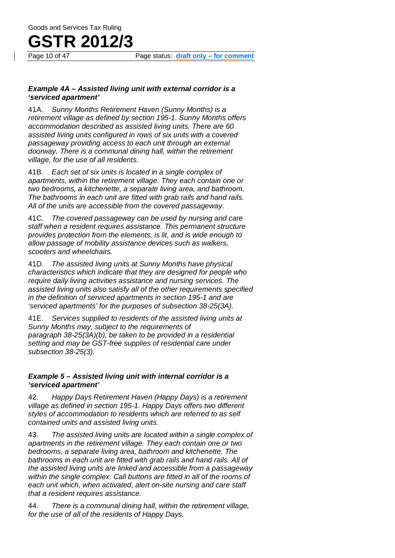#### *Example 4A – Assisted living unit with external corridor is a 'serviced apartment'*

41A. *Sunny Months Retirement Haven (Sunny Months) is a retirement village as defined by section 195-1. Sunny Months offers accommodation described as assisted living units. There are 60 assisted living units configured in rows of six units with a covered passageway providing access to each unit through an external doorway. There is a communal dining hall, within the retirement village, for the use of all residents.*

41B. *Each set of six units is located in a single complex of apartments, within the retirement village. They each contain one or two bedrooms, a kitchenette, a separate living area, and bathroom. The bathrooms in each unit are fitted with grab rails and hand rails. All of the units are accessible from the covered passageway.*

41C. *The covered passageway can be used by nursing and care staff when a resident requires assistance. This permanent structure provides protection from the elements, is lit, and is wide enough to allow passage of mobility assistance devices such as walkers, scooters and wheelchairs.*

41D. *The assisted living units at Sunny Months have physical characteristics which indicate that they are designed for people who require daily living activities assistance and nursing services. The assisted living units also satisfy all of the other requirements specified in the definition of serviced apartments in section 195-1 and are 'serviced apartments' for the purposes of subsection 38-25(3A).*

41E. *Services supplied to residents of the assisted living units at Sunny Months may, subject to the requirements of paragraph 38-25(3A)(b), be taken to be provided in a residential setting and may be GST-free supplies of residential care under subsection 38-25(3).*

#### *Example 5 – Assisted living unit with internal corridor is a 'serviced apartment'*

42. *Happy Days Retirement Haven (Happy Days) is a retirement village as defined in section 195-1. Happy Days offers two different styles of accommodation to residents which are referred to as self contained units and assisted living units.*

43. *The assisted living units are located within a single complex of apartments in the retirement village. They each contain one or two bedrooms, a separate living area, bathroom and kitchenette. The bathrooms in each unit are fitted with grab rails and hand rails. All of the assisted living units are linked and accessible from a passageway within the single complex. Call buttons are fitted in all of the rooms of each unit which, when activated, alert on-site nursing and care staff that a resident requires assistance.*

44. *There is a communal dining hall, within the retirement village, for the use of all of the residents of Happy Days.*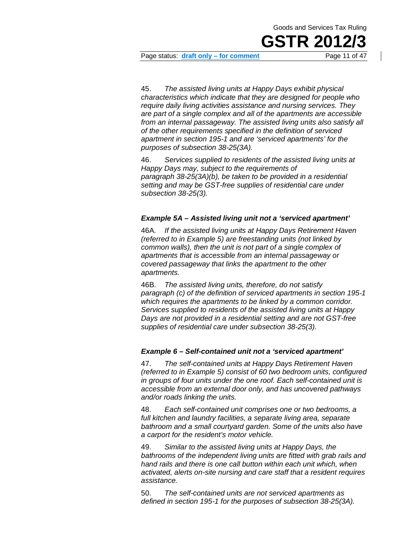

Page status: draft only – for comment

45. *The assisted living units at Happy Days exhibit physical characteristics which indicate that they are designed for people who require daily living activities assistance and nursing services. They are part of a single complex and all of the apartments are accessible from an internal passageway. The assisted living units also satisfy all of the other requirements specified in the definition of serviced apartment in section 195-1 and are 'serviced apartments' for the purposes of subsection 38-25(3A).*

46. *Services supplied to residents of the assisted living units at Happy Days may, subject to the requirements of paragraph 38-25(3A)(b), be taken to be provided in a residential setting and may be GST-free supplies of residential care under subsection 38-25(3).*

#### *Example 5A – Assisted living unit not a 'serviced apartment'*

46A. *If the assisted living units at Happy Days Retirement Haven (referred to in Example 5) are freestanding units (not linked by common walls), then the unit is not part of a single complex of apartments that is accessible from an internal passageway or covered passageway that links the apartment to the other apartments.*

46B. *The assisted living units, therefore, do not satisfy paragraph (c) of the definition of serviced apartments in section 195-1 which requires the apartments to be linked by a common corridor. Services supplied to residents of the assisted living units at Happy Days are not provided in a residential setting and are not GST-free supplies of residential care under subsection 38-25(3).*

#### *Example 6 – Self-contained unit not a 'serviced apartment'*

47. *The self-contained units at Happy Days Retirement Haven (referred to in Example 5) consist of 60 two bedroom units, configured in groups of four units under the one roof. Each self-contained unit is accessible from an external door only, and has uncovered pathways and/or roads linking the units.*

48. *Each self-contained unit comprises one or two bedrooms, a full kitchen and laundry facilities, a separate living area, separate bathroom and a small courtyard garden. Some of the units also have a carport for the resident's motor vehicle.*

49. *Similar to the assisted living units at Happy Days, the bathrooms of the independent living units are fitted with grab rails and hand rails and there is one call button within each unit which, when activated, alerts on-site nursing and care staff that a resident requires assistance.*

50. *The self-contained units are not serviced apartments as defined in section 195-1 for the purposes of subsection 38-25(3A).*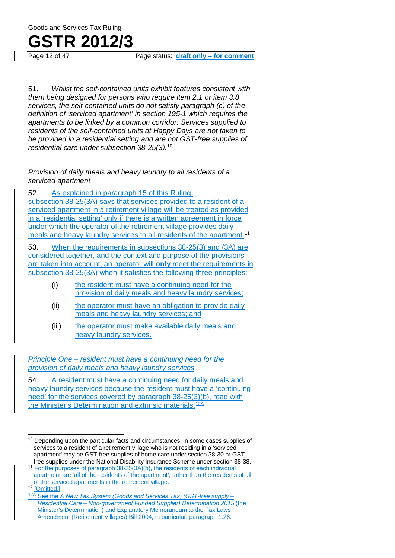# **GSTR 2012/3**<br>Page 12 of 47

Page status: draft only – for comment

51. *Whilst the self-contained units exhibit features consistent with them being designed for persons who require item 2.1 or item 3.8 services, the self-contained units do not satisfy paragraph (c) of the definition of 'serviced apartment' in section 195-1 which requires the apartments to be linked by a common corridor. Services supplied to residents of the self-contained units at Happy Days are not taken to be provided in a residential setting and are not GST-free supplies of residential care under subsection 38-25(3).*[10](#page-11-0)

*Provision of daily meals and heavy laundry to all residents of a serviced apartment*

52. As explained in paragraph 15 of this Ruling, subsection 38-25(3A) says that services provided to a resident of a serviced apartment in a retirement village will be treated as provided in a 'residential setting' only if there is a written agreement in force under which the operator of the retirement village provides daily meals and heavy laundry services to all residents of the apartment.<sup>[11](#page-11-1)</sup>

53. When the requirements in subsections 38-25(3) and (3A) are considered together, and the context and purpose of the provisions are taken into account, an operator will **only** meet the requirements in subsection 38-25(3A) when it satisfies the following three principles:

- (i) the resident must have a continuing need for the provision of daily meals and heavy laundry services;
- (ii) the operator must have an obligation to provide daily meals and heavy laundry services; and
- (iii) the operator must make available daily meals and heavy laundry services.

*Principle One – resident must have a continuing need for the provision of daily meals and heavy laundry services*

54. A resident must have a continuing need for daily meals and heavy laundry services because the resident must have a 'continuing need' for the services covered by paragraph 38-25(3)(b), read with the Minister's Determination and extrinsic materials.<sup>[12A](#page-11-3)</sup>

<span id="page-11-0"></span><sup>&</sup>lt;sup>10</sup> Depending upon the particular facts and circumstances, in some cases supplies of services to a resident of a retirement village who is not residing in a 'serviced apartment' may be GST-free supplies of home care under section 38-30 or GSTfree supplies under the National Disability Insurance Scheme under section 38-38.

<span id="page-11-1"></span><sup>11</sup> For the purposes of paragraph 38-25(3A)(b), the residents of each individual apartment are 'all of the residents of the apartment', rather than the residents of all of the serviced apartments in the retirement village.

<span id="page-11-2"></span><sup>&</sup>lt;sup>12</sup> [Omitted.]

<span id="page-11-3"></span><sup>12</sup>A See the *A New Tax System (Goods and Services Tax) (GST-free supply – Residential Care – Non-government Funded Supplier) Determination 2015* (the Minister's Determination) and Explanatory Memorandum to the Tax Laws Amendment (Retirement Villages) Bill 2004, in particular, paragraph 1.26.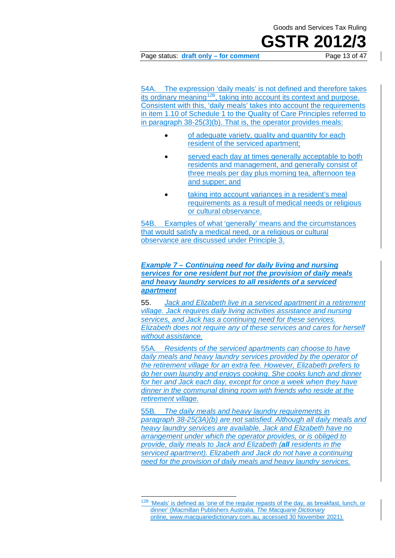## **GSTR 2012**

Page status: **draft only – for comment** Page 13 of 47

54A. The expression 'daily meals' is not defined and therefore takes its ordinary meaning<sup>12B</sup>, taking into account its context and purpose. Consistent with this, 'daily meals' takes into account the requirements in item 1.10 of Schedule 1 to the Quality of Care Principles referred to in paragraph 38-25(3)(b). That is, the operator provides meals:

- of adequate variety, quality and quantity for each resident of the serviced apartment;
- served each day at times generally acceptable to both residents and management, and generally consist of three meals per day plus morning tea, afternoon tea and supper; and
- taking into account variances in a resident's meal requirements as a result of medical needs or religious or cultural observance.

54B. Examples of what 'generally' means and the circumstances that would satisfy a medical need, or a religious or cultural observance are discussed under Principle 3.

#### *Example 7 – Continuing need for daily living and nursing services for one resident but not the provision of daily meals and heavy laundry services to all residents of a serviced apartment*

55. *Jack and Elizabeth live in a serviced apartment in a retirement village. Jack requires daily living activities assistance and nursing services, and Jack has a continuing need for these services. Elizabeth does not require any of these services and cares for herself without assistance.*

55A*. Residents of the serviced apartments can choose to have daily meals and heavy laundry services provided by the operator of the retirement village for an extra fee. However, Elizabeth prefers to do her own laundry and enjoys cooking. She cooks lunch and dinner for her and Jack each day, except for once a week when they have dinner in the communal dining room with friends who reside at the retirement village.*

55B*. The daily meals and heavy laundry requirements in paragraph 38-25(3A)(b) are not satisfied. Although all daily meals and heavy laundry services are available, Jack and Elizabeth have no arrangement under which the operator provides, or is obliged to provide, daily meals to Jack and Elizabeth (all residents in the serviced apartment). Elizabeth and Jack do not have a continuing need for the provision of daily meals and heavy laundry services.*

<span id="page-12-0"></span><sup>&</sup>lt;sup>12B</sup> 'Meals' is defined as 'one of the regular repasts of the day, as breakfast, lunch, or dinner' (Macmillan Publishers Australia, *The Macquarie Dictionary*  online*,* [www.macquariedictionary.com.au](http://www.macquariedictionary.com.au/)*,* accessed 30 November 2021).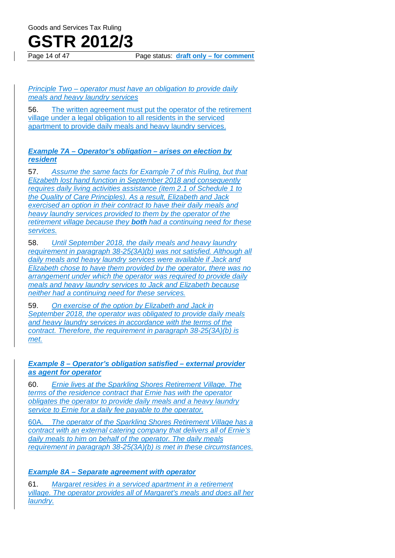### **GSTR 2012/3**

Page 14 of 47 Page status: **draft only – for comment**

*Principle Two – operator must have an obligation to provide daily meals and heavy laundry services*

56. The written agreement must put the operator of the retirement village under a legal obligation to all residents in the serviced apartment to provide daily meals and heavy laundry services.

#### *Example 7A – Operator's obligation – arises on election by resident*

57. *Assume the same facts for Example 7 of this Ruling, but that Elizabeth lost hand function in September 2018 and consequently requires daily living activities assistance (item 2.1 of Schedule 1 to the Quality of Care Principles). As a result, Elizabeth and Jack exercised an option in their contract to have their daily meals and heavy laundry services provided to them by the operator of the retirement village because they both had a continuing need for these services.*

58. *Until September 2018, the daily meals and heavy laundry requirement in paragraph 38-25(3A)(b) was not satisfied. Although all daily meals and heavy laundry services were available if Jack and Elizabeth chose to have them provided by the operator, there was no arrangement under which the operator was required to provide daily meals and heavy laundry services to Jack and Elizabeth because neither had a continuing need for these services.*

59. *On exercise of the option by Elizabeth and Jack in September 2018, the operator was obligated to provide daily meals and heavy laundry services in accordance with the terms of the contract. Therefore, the requirement in paragraph 38-25(3A)(b) is met.*

#### *Example 8 – Operator's obligation satisfied – external provider as agent for operator*

60. *Ernie lives at the Sparkling Shores Retirement Village. The terms of the residence contract that Ernie has with the operator obligates the operator to provide daily meals and a heavy laundry service to Ernie for a daily fee payable to the operator.*

60A. *The operator of the Sparkling Shores Retirement Village has a contract with an external catering company that delivers all of Ernie's daily meals to him on behalf of the operator. The daily meals requirement in paragraph 38-25(3A)(b) is met in these circumstances.*

*Example 8A – Separate agreement with operator*

61. *Margaret resides in a serviced apartment in a retirement village. The operator provides all of Margaret's meals and does all her laundry.*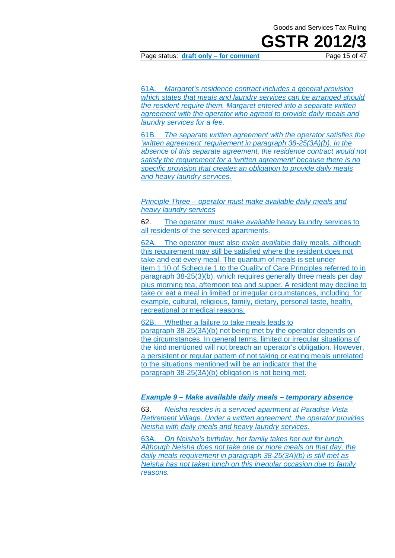Page status: draft only – for comment

61A. *Margaret's residence contract includes a general provision which states that meals and laundry services can be arranged should the resident require them. Margaret entered into a separate written agreement with the operator who agreed to provide daily meals and laundry services for a fee.*

61B. *The separate written agreement with the operator satisfies the 'written agreement' requirement in paragraph 38-25(3A)(b). In the absence of this separate agreement, the residence contract would not satisfy the requirement for a 'written agreement' because there is no specific provision that creates an obligation to provide daily meals and heavy laundry services.*

*Principle Three – operator must make available daily meals and heavy laundry services*

62. The operator must *make available* heavy laundry services to all residents of the serviced apartments.

62A. The operator must also *make available* daily meals, although this requirement may still be satisfied where the resident does not take and eat every meal. The quantum of meals is set under item 1.10 of Schedule 1 to the Quality of Care Principles referred to in paragraph 38-25(3)(b), which requires generally three meals per day plus morning tea, afternoon tea and supper. A resident may decline to take or eat a meal in limited or irregular circumstances, including, for example, cultural, religious, family, dietary, personal taste, health, recreational or medical reasons.

62B. Whether a failure to take meals leads to paragraph 38-25(3A)(b) not being met by the operator depends on the circumstances. In general terms, limited or irregular situations of the kind mentioned will not breach an operator's obligation. However, a persistent or regular pattern of not taking or eating meals unrelated to the situations mentioned will be an indicator that the paragraph 38-25(3A)(b) obligation is not being met.

#### *Example 9 – Make available daily meals – temporary absence*

63. *Neisha resides in a serviced apartment at Paradise Vista Retirement Village. Under a written agreement, the operator provides Neisha with daily meals and heavy laundry services*.

63A. *On Neisha's birthday, her family takes her out for lunch. Although Neisha does not take one or more meals on that day, the daily meals requirement in paragraph 38-25(3A)(b) is still met as Neisha has not taken lunch on this irregular occasion due to family reasons.*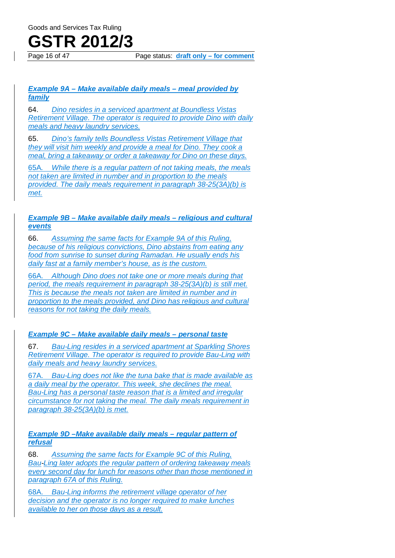

Page 16 of 47 Page status: **draft only – for comment**

#### *Example 9A – Make available daily meals – meal provided by family*

64. *Dino resides in a serviced apartment at Boundless Vistas Retirement Village. The operator is required to provide Dino with daily meals and heavy laundry services.*

65. *Dino's family tells Boundless Vistas Retirement Village that they will visit him weekly and provide a meal for Dino. They cook a meal, bring a takeaway or order a takeaway for Dino on these days.*

65A*. While there is a regular pattern of not taking meals, the meals not taken are limited in number and in proportion to the meals provided. The daily meals requirement in paragraph 38-25(3A)(b) is met.*

#### *Example 9B – Make available daily meals – religious and cultural events*

66. *Assuming the same facts for Example 9A of this Ruling, because of his religious convictions, Dino abstains from eating any food from sunrise to sunset during Ramadan. He usually ends his daily fast at a family member's house, as is the custom.*

66A. *Although Dino does not take one or more meals during that period, the meals requirement in paragraph 38-25(3A)(b) is still met. This is because the meals not taken are limited in number and in proportion to the meals provided, and Dino has religious and cultural reasons for not taking the daily meals.*

#### *Example 9C – Make available daily meals – personal taste*

67. *Bau-Ling resides in a serviced apartment at Sparkling Shores Retirement Village. The operator is required to provide Bau-Ling with daily meals and heavy laundry services.*

67A. *Bau-Ling does not like the tuna bake that is made available as a daily meal by the operator. This week, she declines the meal. Bau-Ling has a personal taste reason that is a limited and irregular circumstance for not taking the meal. The daily meals requirement in paragraph 38-25(3A)(b) is met.*

#### *Example 9D –Make available daily meals – regular pattern of refusal*

68. *Assuming the same facts for Example 9C of this Ruling, Bau-Ling later adopts the regular pattern of ordering takeaway meals every second day for lunch for reasons other than those mentioned in paragraph 67A of this Ruling.*

68A. *Bau-Ling informs the retirement village operator of her decision and the operator is no longer required to make lunches available to her on those days as a result.*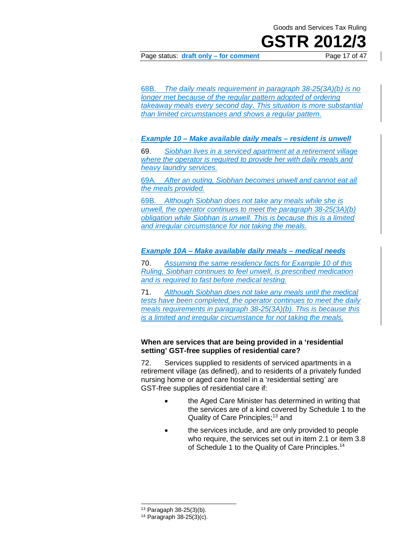## **GSTR 201**

Page status: **draft only – for comment** Page 17 of 47

68B. *The daily meals requirement in paragraph 38-25(3A)(b) is no longer met because of the regular pattern adopted of ordering takeaway meals every second day. This situation is more substantial than limited circumstances and shows a regular pattern.*

#### *Example 10 – Make available daily meals – resident is unwell*

69. *Siobhan lives in a serviced apartment at a retirement village where the operator is required to provide her with daily meals and heavy laundry services.*

69A*. After an outing, Siobhan becomes unwell and cannot eat all the meals provided.*

69B. *Although Siobhan does not take any meals while she is unwell, the operator continues to meet the paragraph 38-25(3A)(b) obligation while Siobhan is unwell. This is because this is a limited and irregular circumstance for not taking the meals.*

#### *Example 10A – Make available daily meals – medical needs*

70. *Assuming the same residency facts for Example 10 of this Ruling, Siobhan continues to feel unwell, is prescribed medication and is required to fast before medical testing.*

71. *Although Siobhan does not take any meals until the medical tests have been completed, the operator continues to meet the daily meals requirements in paragraph 38-25(3A)(b). This is because this is a limited and irregular circumstance for not taking the meals.*

#### **When are services that are being provided in a 'residential setting' GST-free supplies of residential care?**

72. Services supplied to residents of serviced apartments in a retirement village (as defined), and to residents of a privately funded nursing home or aged care hostel in a 'residential setting' are GST-free supplies of residential care if:

- the Aged Care Minister has determined in writing that the services are of a kind covered by Schedule 1 to the Quality of Care Principles;<sup>[13](#page-16-0)</sup> and
- the services include, and are only provided to people who require, the services set out in item 2.1 or item 3.8 of Schedule 1 to the Quality of Care Principles.<sup>[14](#page-16-1)</sup>

<sup>13</sup> Paragaph 38-25(3)(b).

<span id="page-16-1"></span><span id="page-16-0"></span><sup>14</sup> Paragraph 38-25(3)(c).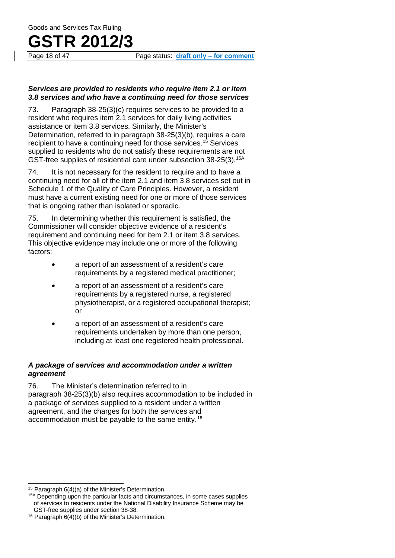Page 18 of 47 Page status: **draft only – for comment**

#### *Services are provided to residents who require item 2.1 or item 3.8 services and who have a continuing need for those services*

73. Paragraph 38-25(3)(c) requires services to be provided to a resident who requires item 2.1 services for daily living activities assistance or item 3.8 services. Similarly, the Minister's Determination, referred to in paragraph 38-25(3)(b), requires a care recipient to have a continuing need for those services.[15](#page-17-0) Services supplied to residents who do not satisfy these requirements are not GST-free supplies of residential care under subsection 38-25(3).[15A](#page-17-1)

74. It is not necessary for the resident to require and to have a continuing need for all of the item 2.1 and item 3.8 services set out in Schedule 1 of the Quality of Care Principles. However, a resident must have a current existing need for one or more of those services that is ongoing rather than isolated or sporadic.

75. In determining whether this requirement is satisfied, the Commissioner will consider objective evidence of a resident's requirement and continuing need for item 2.1 or item 3.8 services. This objective evidence may include one or more of the following factors:

- a report of an assessment of a resident's care requirements by a registered medical practitioner;
- a report of an assessment of a resident's care requirements by a registered nurse, a registered physiotherapist, or a registered occupational therapist; or
- a report of an assessment of a resident's care requirements undertaken by more than one person, including at least one registered health professional.

#### *A package of services and accommodation under a written agreement*

76. The Minister's determination referred to in paragraph 38-25(3)(b) also requires accommodation to be included in a package of services supplied to a resident under a written agreement, and the charges for both the services and accommodation must be payable to the same entity.[16](#page-17-2)

<span id="page-17-0"></span><sup>15</sup> Paragraph 6(4)(a) of the Minister's Determination.

<span id="page-17-1"></span><sup>&</sup>lt;sup>15A</sup> Depending upon the particular facts and circumstances, in some cases supplies of services to residents under the National Disability Insurance Scheme may be GST-free supplies under section 38-38.

<span id="page-17-2"></span><sup>16</sup> Paragraph 6(4)(b) of the Minister's Determination.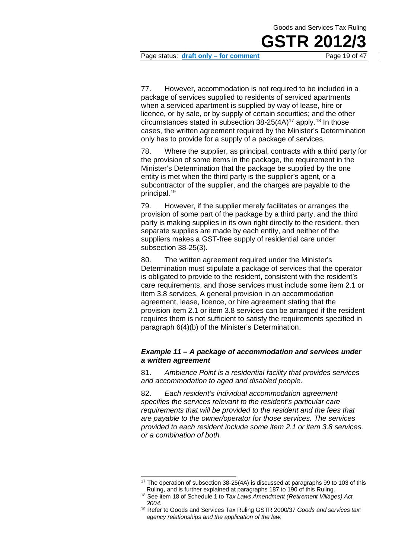

Page status: **draft only – for comment** Page 19 of 47

77. However, accommodation is not required to be included in a package of services supplied to residents of serviced apartments when a serviced apartment is supplied by way of lease, hire or licence, or by sale, or by supply of certain securities; and the other circumstances stated in subsection  $38-25(4)$ <sup>[17](#page-18-0)</sup> apply.<sup>[18](#page-18-1)</sup> In those cases, the written agreement required by the Minister's Determination only has to provide for a supply of a package of services.

78. Where the supplier, as principal, contracts with a third party for the provision of some items in the package, the requirement in the Minister's Determination that the package be supplied by the one entity is met when the third party is the supplier's agent, or a subcontractor of the supplier, and the charges are payable to the principal.[19](#page-18-2)

79. However, if the supplier merely facilitates or arranges the provision of some part of the package by a third party, and the third party is making supplies in its own right directly to the resident, then separate supplies are made by each entity, and neither of the suppliers makes a GST-free supply of residential care under subsection 38-25(3).

80. The written agreement required under the Minister's Determination must stipulate a package of services that the operator is obligated to provide to the resident, consistent with the resident's care requirements, and those services must include some item 2.1 or item 3.8 services. A general provision in an accommodation agreement, lease, licence, or hire agreement stating that the provision item 2.1 or item 3.8 services can be arranged if the resident requires them is not sufficient to satisfy the requirements specified in paragraph 6(4)(b) of the Minister's Determination.

#### *Example 11 – A package of accommodation and services under a written agreement*

81. *Ambience Point is a residential facility that provides services and accommodation to aged and disabled people.*

82. *Each resident's individual accommodation agreement specifies the services relevant to the resident's particular care requirements that will be provided to the resident and the fees that are payable to the owner/operator for those services. The services provided to each resident include some item 2.1 or item 3.8 services, or a combination of both.*

<span id="page-18-0"></span><sup>&</sup>lt;sup>17</sup> The operation of subsection 38-25(4A) is discussed at paragraphs 99 to 103 of this Ruling, and is further explained at paragraphs 187 to 190 of this Ruling.

<span id="page-18-1"></span><sup>18</sup> See item 18 of Schedule 1 to *Tax Laws Amendment (Retirement Villages) Act 2004*.

<span id="page-18-2"></span><sup>19</sup> Refer to Goods and Services Tax Ruling GSTR 2000/37 *Goods and services tax: agency relationships and the application of the law*.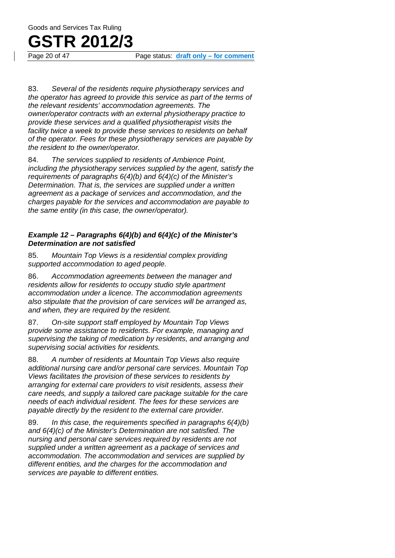## **GSTR 2012/3**

Page status: draft only – for comment

83. *Several of the residents require physiotherapy services and the operator has agreed to provide this service as part of the terms of the relevant residents' accommodation agreements. The owner/operator contracts with an external physiotherapy practice to provide these services and a qualified physiotherapist visits the facility twice a week to provide these services to residents on behalf of the operator. Fees for these physiotherapy services are payable by the resident to the owner/operator.*

84. *The services supplied to residents of Ambience Point, including the physiotherapy services supplied by the agent, satisfy the requirements of paragraphs 6(4)(b) and 6(4)(c) of the Minister's Determination. That is, the services are supplied under a written agreement as a package of services and accommodation, and the charges payable for the services and accommodation are payable to the same entity (in this case, the owner/operator).*

#### *Example 12 – Paragraphs 6(4)(b) and 6(4)(c) of the Minister's Determination are not satisfied*

85. *Mountain Top Views is a residential complex providing supported accommodation to aged people.*

86. *Accommodation agreements between the manager and residents allow for residents to occupy studio style apartment accommodation under a licence. The accommodation agreements also stipulate that the provision of care services will be arranged as, and when, they are required by the resident.*

87. *On-site support staff employed by Mountain Top Views provide some assistance to residents. For example, managing and supervising the taking of medication by residents, and arranging and supervising social activities for residents.*

88. *A number of residents at Mountain Top Views also require additional nursing care and/or personal care services. Mountain Top Views facilitates the provision of these services to residents by arranging for external care providers to visit residents, assess their care needs, and supply a tailored care package suitable for the care needs of each individual resident. The fees for these services are payable directly by the resident to the external care provider.*

89. *In this case, the requirements specified in paragraphs 6(4)(b) and 6(4)(c) of the Minister's Determination are not satisfied. The nursing and personal care services required by residents are not supplied under a written agreement as a package of services and accommodation. The accommodation and services are supplied by different entities, and the charges for the accommodation and services are payable to different entities.*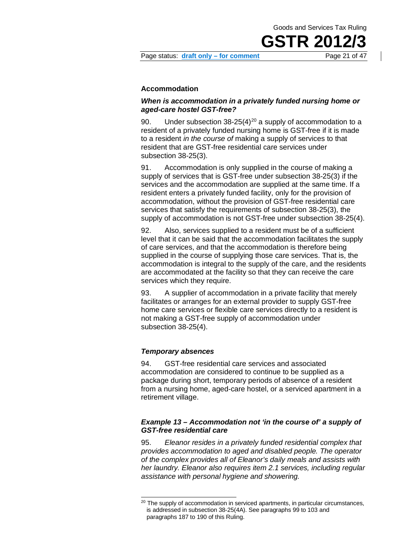**GSTR 20** 

Page status: **draft only – for comment** Page 21 of 47

#### **Accommodation**

#### *When is accommodation in a privately funded nursing home or aged-care hostel GST-free?*

90. Under subsection  $38-25(4)^{20}$  $38-25(4)^{20}$  $38-25(4)^{20}$  a supply of accommodation to a resident of a privately funded nursing home is GST-free if it is made to a resident *in the course of* making a supply of services to that resident that are GST-free residential care services under subsection 38-25(3).

91. Accommodation is only supplied in the course of making a supply of services that is GST-free under subsection 38-25(3) if the services and the accommodation are supplied at the same time. If a resident enters a privately funded facility, only for the provision of accommodation, without the provision of GST-free residential care services that satisfy the requirements of subsection 38-25(3), the supply of accommodation is not GST-free under subsection 38-25(4).

92. Also, services supplied to a resident must be of a sufficient level that it can be said that the accommodation facilitates the supply of care services, and that the accommodation is therefore being supplied in the course of supplying those care services. That is, the accommodation is integral to the supply of the care, and the residents are accommodated at the facility so that they can receive the care services which they require.

93. A supplier of accommodation in a private facility that merely facilitates or arranges for an external provider to supply GST-free home care services or flexible care services directly to a resident is not making a GST-free supply of accommodation under subsection 38-25(4).

#### *Temporary absences*

94. GST-free residential care services and associated accommodation are considered to continue to be supplied as a package during short, temporary periods of absence of a resident from a nursing home, aged-care hostel, or a serviced apartment in a retirement village.

#### *Example 13 – Accommodation not 'in the course of' a supply of GST-free residential care*

95. *Eleanor resides in a privately funded residential complex that provides accommodation to aged and disabled people. The operator of the complex provides all of Eleanor's daily meals and assists with her laundry. Eleanor also requires item 2.1 services, including regular assistance with personal hygiene and showering.*

<span id="page-20-0"></span><sup>&</sup>lt;sup>20</sup> The supply of accommodation in serviced apartments, in particular circumstances, is addressed in subsection 38-25(4A). See paragraphs 99 to 103 and paragraphs 187 to 190 of this Ruling.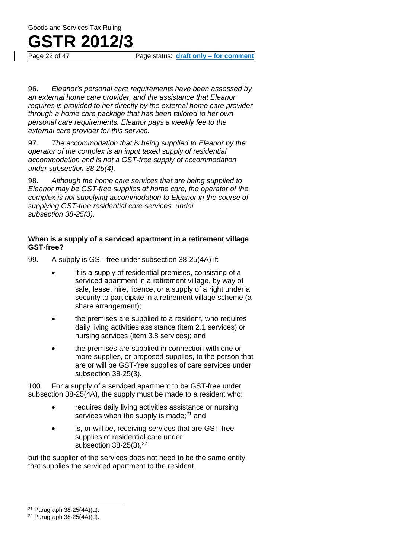Page status: draft only – for comment

96. *Eleanor's personal care requirements have been assessed by an external home care provider, and the assistance that Eleanor requires is provided to her directly by the external home care provider through a home care package that has been tailored to her own personal care requirements. Eleanor pays a weekly fee to the external care provider for this service.*

97. *The accommodation that is being supplied to Eleanor by the operator of the complex is an input taxed supply of residential accommodation and is not a GST-free supply of accommodation under subsection 38-25(4).*

98. *Although the home care services that are being supplied to Eleanor may be GST-free supplies of home care, the operator of the complex is not supplying accommodation to Eleanor in the course of supplying GST-free residential care services, under subsection 38-25(3).*

#### **When is a supply of a serviced apartment in a retirement village GST-free?**

- 99. A supply is GST-free under subsection 38-25(4A) if:
	- it is a supply of residential premises, consisting of a serviced apartment in a retirement village, by way of sale, lease, hire, licence, or a supply of a right under a security to participate in a retirement village scheme (a share arrangement);
	- the premises are supplied to a resident, who requires daily living activities assistance (item 2.1 services) or nursing services (item 3.8 services); and
	- the premises are supplied in connection with one or more supplies, or proposed supplies, to the person that are or will be GST-free supplies of care services under subsection 38-25(3).

100. For a supply of a serviced apartment to be GST-free under subsection 38-25(4A), the supply must be made to a resident who:

- requires daily living activities assistance or nursing services when the supply is made; $^{21}$  $^{21}$  $^{21}$  and
- is, or will be, receiving services that are GST-free supplies of residential care under subsection  $38-25(3)$ ,  $22$

but the supplier of the services does not need to be the same entity that supplies the serviced apartment to the resident.

<span id="page-21-0"></span> $21$  Paragraph 38-25(4A)(a).

<span id="page-21-1"></span> $22$  Paragraph 38-25(4A)(d).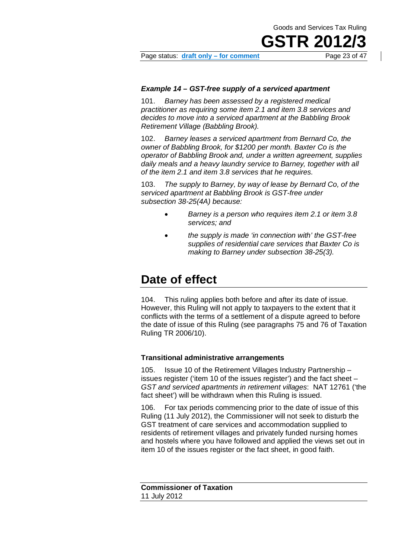**GSTR 20** 

Page status: **draft only – for comment** Page 23 of 47

#### *Example 14 – GST-free supply of a serviced apartment*

101. *Barney has been assessed by a registered medical practitioner as requiring some item 2.1 and item 3.8 services and decides to move into a serviced apartment at the Babbling Brook Retirement Village (Babbling Brook).*

102. *Barney leases a serviced apartment from Bernard Co, the owner of Babbling Brook, for \$1200 per month. Baxter Co is the operator of Babbling Brook and, under a written agreement, supplies daily meals and a heavy laundry service to Barney, together with all of the item 2.1 and item 3.8 services that he requires.*

103. *The supply to Barney, by way of lease by Bernard Co, of the serviced apartment at Babbling Brook is GST-free under subsection 38-25(4A) because:*

- *Barney is a person who requires item 2.1 or item 3.8 services; and*
- *the supply is made 'in connection with' the GST-free supplies of residential care services that Baxter Co is making to Barney under subsection 38-25(3).*

### **Date of effect**

<span id="page-22-0"></span>104. This ruling applies both before and after its date of issue. However, this Ruling will not apply to taxpayers to the extent that it conflicts with the terms of a settlement of a dispute agreed to before the date of issue of this Ruling (see paragraphs 75 and 76 of Taxation Ruling TR 2006/10).

#### **Transitional administrative arrangements**

105. Issue 10 of the Retirement Villages Industry Partnership – issues register ('item 10 of the issues register') and the fact sheet – *GST and serviced apartments in retirement villages*: NAT 12761 ('the fact sheet') will be withdrawn when this Ruling is issued.

106. For tax periods commencing prior to the date of issue of this Ruling (11 July 2012), the Commissioner will not seek to disturb the GST treatment of care services and accommodation supplied to residents of retirement villages and privately funded nursing homes and hostels where you have followed and applied the views set out in item 10 of the issues register or the fact sheet, in good faith.

**Commissioner of Taxation** 11 July 2012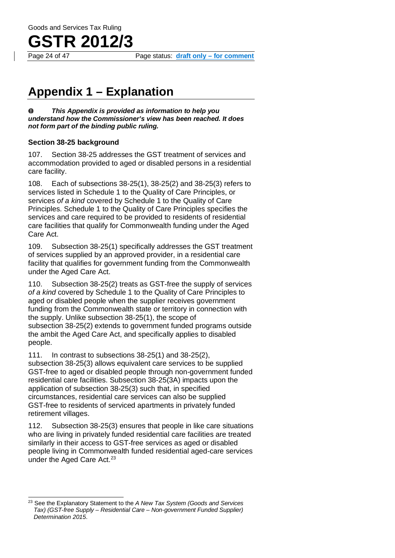

Page status: draft only – for comment

### **Appendix 1 – Explanation**

*This Appendix is provided as information to help you*   $\bf{0}$ *understand how the Commissioner's view has been reached. It does not form part of the binding public ruling.*

#### **Section 38-25 background**

<span id="page-23-0"></span>107. Section 38-25 addresses the GST treatment of services and accommodation provided to aged or disabled persons in a residential care facility.

108. Each of subsections 38-25(1), 38-25(2) and 38-25(3) refers to services listed in Schedule 1 to the Quality of Care Principles, or services *of a kind* covered by Schedule 1 to the Quality of Care Principles. Schedule 1 to the Quality of Care Principles specifies the services and care required to be provided to residents of residential care facilities that qualify for Commonwealth funding under the Aged Care Act.

109. Subsection 38-25(1) specifically addresses the GST treatment of services supplied by an approved provider, in a residential care facility that qualifies for government funding from the Commonwealth under the Aged Care Act.

110. Subsection 38-25(2) treats as GST-free the supply of services *of a kind* covered by Schedule 1 to the Quality of Care Principles to aged or disabled people when the supplier receives government funding from the Commonwealth state or territory in connection with the supply. Unlike subsection 38-25(1), the scope of subsection 38-25(2) extends to government funded programs outside the ambit the Aged Care Act, and specifically applies to disabled people.

111. In contrast to subsections 38-25(1) and 38-25(2), subsection 38-25(3) allows equivalent care services to be supplied GST-free to aged or disabled people through non-government funded residential care facilities. Subsection 38-25(3A) impacts upon the application of subsection 38-25(3) such that, in specified circumstances, residential care services can also be supplied GST-free to residents of serviced apartments in privately funded retirement villages.

112. Subsection 38-25(3) ensures that people in like care situations who are living in privately funded residential care facilities are treated similarly in their access to GST-free services as aged or disabled people living in Commonwealth funded residential aged-care services under the Aged Care Act.<sup>[23](#page-23-1)</sup>

<span id="page-23-1"></span><sup>23</sup> See the Explanatory Statement to the *A New Tax System (Goods and Services Tax) (GST-free Supply – Residential Care – Non-government Funded Supplier) Determination 2015*.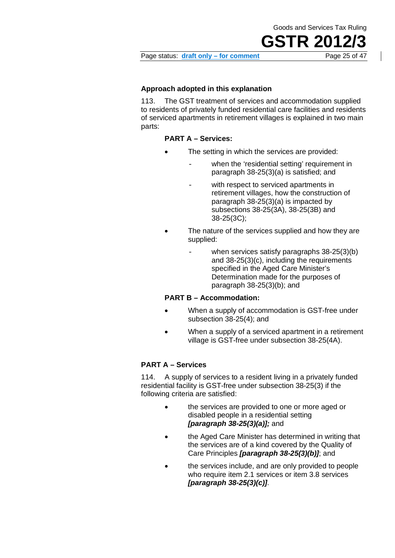**GSTR 201** 



#### **Approach adopted in this explanation**

113. The GST treatment of services and accommodation supplied to residents of privately funded residential care facilities and residents of serviced apartments in retirement villages is explained in two main parts:

#### **PART A – Services:**

- The setting in which the services are provided:
	- when the 'residential setting' requirement in paragraph 38-25(3)(a) is satisfied; and
		- with respect to serviced apartments in retirement villages, how the construction of paragraph 38-25(3)(a) is impacted by subsections 38-25(3A), 38-25(3B) and 38-25(3C);
	- The nature of the services supplied and how they are supplied:
		- when services satisfy paragraphs  $38-25(3)(b)$ and 38-25(3)(c), including the requirements specified in the Aged Care Minister's Determination made for the purposes of paragraph 38-25(3)(b); and

#### **PART B – Accommodation:**

- When a supply of accommodation is GST-free under subsection 38-25(4); and
- When a supply of a serviced apartment in a retirement village is GST-free under subsection 38-25(4A).

#### **PART A – Services**

114. A supply of services to a resident living in a privately funded residential facility is GST-free under subsection 38-25(3) if the following criteria are satisfied:

- the services are provided to one or more aged or disabled people in a residential setting *[paragraph 38-25(3)(a)];* and
- the Aged Care Minister has determined in writing that the services are of a kind covered by the Quality of Care Principles *[paragraph 38-25(3)(b)]*; and
- the services include, and are only provided to people who require item 2.1 services or item 3.8 services *[paragraph 38-25(3)(c)]*.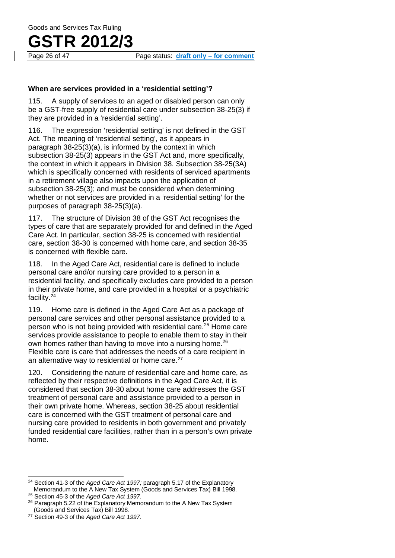#### **When are services provided in a 'residential setting'?**

115. A supply of services to an aged or disabled person can only be a GST-free supply of residential care under subsection 38-25(3) if they are provided in a 'residential setting'.

116. The expression 'residential setting' is not defined in the GST Act. The meaning of 'residential setting', as it appears in paragraph 38-25(3)(a), is informed by the context in which subsection 38-25(3) appears in the GST Act and, more specifically, the context in which it appears in Division 38. Subsection 38-25(3A) which is specifically concerned with residents of serviced apartments in a retirement village also impacts upon the application of subsection 38-25(3); and must be considered when determining whether or not services are provided in a 'residential setting' for the purposes of paragraph 38-25(3)(a).

117. The structure of Division 38 of the GST Act recognises the types of care that are separately provided for and defined in the Aged Care Act. In particular, section 38-25 is concerned with residential care, section 38-30 is concerned with home care, and section 38-35 is concerned with flexible care.

118. In the Aged Care Act, residential care is defined to include personal care and/or nursing care provided to a person in a residential facility, and specifically excludes care provided to a person in their private home, and care provided in a hospital or a psychiatric facility.[24](#page-25-0)

119. Home care is defined in the Aged Care Act as a package of personal care services and other personal assistance provided to a person who is not being provided with residential care.<sup>[25](#page-25-1)</sup> Home care services provide assistance to people to enable them to stay in their own homes rather than having to move into a nursing home.<sup>[26](#page-25-2)</sup> Flexible care is care that addresses the needs of a care recipient in an alternative way to residential or home care.<sup>[27](#page-25-3)</sup>

120. Considering the nature of residential care and home care, as reflected by their respective definitions in the Aged Care Act, it is considered that section 38-30 about home care addresses the GST treatment of personal care and assistance provided to a person in their own private home. Whereas, section 38-25 about residential care is concerned with the GST treatment of personal care and nursing care provided to residents in both government and privately funded residential care facilities, rather than in a person's own private home.

<span id="page-25-0"></span><sup>24</sup> Section 41-3 of the *Aged Care Act 1997;* paragraph 5.17 of the Explanatory Memorandum to the A New Tax System (Goods and Services Tax) Bill 1998. <sup>25</sup> Section 45-3 of the *Aged Care Act 1997*.

<span id="page-25-2"></span><span id="page-25-1"></span><sup>&</sup>lt;sup>26</sup> Paragraph 5.22 of the Explanatory Memorandum to the A New Tax System (Goods and Services Tax) Bill 1998*.*

<span id="page-25-3"></span><sup>27</sup> Section 49-3 of the *Aged Care Act 1997*.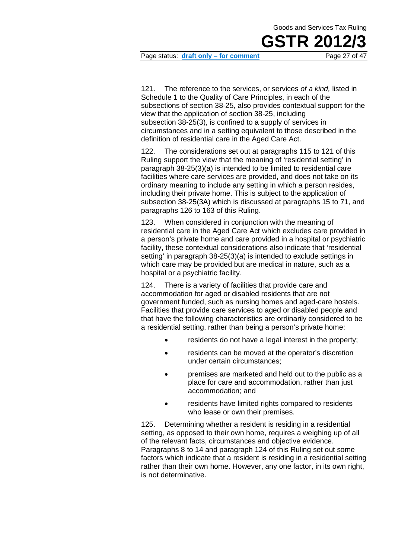

Page status: **draft only – for comment** Page 27 of 47

121. The reference to the services, or services *of a kind,* listed in Schedule 1 to the Quality of Care Principles, in each of the subsections of section 38-25, also provides contextual support for the view that the application of section 38-25, including subsection 38-25(3), is confined to a supply of services in circumstances and in a setting equivalent to those described in the definition of residential care in the Aged Care Act.

122. The considerations set out at paragraphs 115 to 121 of this Ruling support the view that the meaning of 'residential setting' in paragraph 38-25(3)(a) is intended to be limited to residential care facilities where care services are provided, and does not take on its ordinary meaning to include any setting in which a person resides, including their private home. This is subject to the application of subsection 38-25(3A) which is discussed at paragraphs 15 to 71, and paragraphs 126 to 163 of this Ruling.

123. When considered in conjunction with the meaning of residential care in the Aged Care Act which excludes care provided in a person's private home and care provided in a hospital or psychiatric facility, these contextual considerations also indicate that 'residential setting' in paragraph 38-25(3)(a) is intended to exclude settings in which care may be provided but are medical in nature, such as a hospital or a psychiatric facility.

124. There is a variety of facilities that provide care and accommodation for aged or disabled residents that are not government funded, such as nursing homes and aged-care hostels. Facilities that provide care services to aged or disabled people and that have the following characteristics are ordinarily considered to be a residential setting, rather than being a person's private home:

- residents do not have a legal interest in the property;
- residents can be moved at the operator's discretion under certain circumstances;
- premises are marketed and held out to the public as a place for care and accommodation, rather than just accommodation; and
- residents have limited rights compared to residents who lease or own their premises.

125. Determining whether a resident is residing in a residential setting, as opposed to their own home, requires a weighing up of all of the relevant facts, circumstances and objective evidence. Paragraphs 8 to 14 and paragraph 124 of this Ruling set out some factors which indicate that a resident is residing in a residential setting rather than their own home. However, any one factor, in its own right, is not determinative.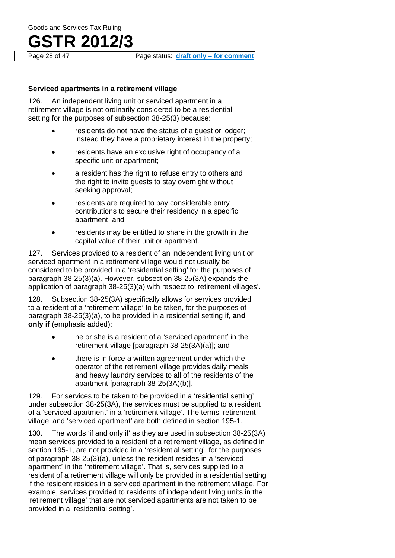## **GSTR 2012/3**<br>Page 28 of 47

#### **Serviced apartments in a retirement village**

126. An independent living unit or serviced apartment in a retirement village is not ordinarily considered to be a residential setting for the purposes of subsection 38-25(3) because:

- residents do not have the status of a quest or lodger: instead they have a proprietary interest in the property;
- residents have an exclusive right of occupancy of a specific unit or apartment;
- a resident has the right to refuse entry to others and the right to invite guests to stay overnight without seeking approval;
- residents are required to pay considerable entry contributions to secure their residency in a specific apartment; and
- residents may be entitled to share in the growth in the capital value of their unit or apartment.

127. Services provided to a resident of an independent living unit or serviced apartment in a retirement village would not usually be considered to be provided in a 'residential setting' for the purposes of paragraph 38-25(3)(a). However, subsection 38-25(3A) expands the application of paragraph 38-25(3)(a) with respect to 'retirement villages'.

128. Subsection 38-25(3A) specifically allows for services provided to a resident of a 'retirement village' to be taken, for the purposes of paragraph 38-25(3)(a), to be provided in a residential setting if, **and only if** (emphasis added):

- he or she is a resident of a 'serviced apartment' in the retirement village [paragraph 38-25(3A)(a)]; and
- there is in force a written agreement under which the operator of the retirement village provides daily meals and heavy laundry services to all of the residents of the apartment [paragraph 38-25(3A)(b)].

129. For services to be taken to be provided in a 'residential setting' under subsection 38-25(3A), the services must be supplied to a resident of a 'serviced apartment' in a 'retirement village'. The terms 'retirement village' and 'serviced apartment' are both defined in section 195-1.

130. The words 'if and only if' as they are used in subsection 38-25(3A) mean services provided to a resident of a retirement village, as defined in section 195-1, are not provided in a 'residential setting', for the purposes of paragraph 38-25(3)(a), unless the resident resides in a 'serviced apartment' in the 'retirement village'. That is, services supplied to a resident of a retirement village will only be provided in a residential setting if the resident resides in a serviced apartment in the retirement village. For example, services provided to residents of independent living units in the 'retirement village' that are not serviced apartments are not taken to be provided in a 'residential setting'.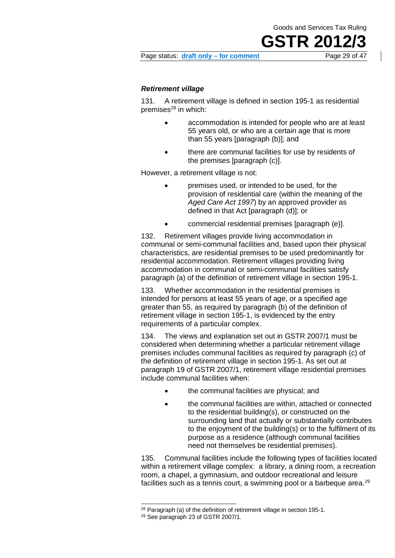**GSTR 2012/3**

#### Page status: **draft only – for comment** Page 29 of 47

#### *Retirement village*

131. A retirement village is defined in section 195-1 as residential premises $^{28}$  $^{28}$  $^{28}$  in which:

- accommodation is intended for people who are at least 55 years old, or who are a certain age that is more than 55 years [paragraph (b)]; and
- there are communal facilities for use by residents of the premises [paragraph (c)].

However, a retirement village is not:

- premises used, or intended to be used, for the provision of residential care (within the meaning of the *Aged Care Act 1997*) by an approved provider as defined in that Act [paragraph (d)]; or
- commercial residential premises [paragraph (e)].

132. Retirement villages provide living accommodation in communal or semi-communal facilities and, based upon their physical characteristics, are residential premises to be used predominantly for residential accommodation. Retirement villages providing living accommodation in communal or semi-communal facilities satisfy paragraph (a) of the definition of retirement village in section 195-1.

133. Whether accommodation in the residential premises is intended for persons at least 55 years of age, or a specified age greater than 55, as required by paragraph (b) of the definition of retirement village in section 195-1, is evidenced by the entry requirements of a particular complex.

134. The views and explanation set out in GSTR 2007/1 must be considered when determining whether a particular retirement village premises includes communal facilities as required by paragraph (c) of the definition of retirement village in section 195-1. As set out at paragraph 19 of GSTR 2007/1, retirement village residential premises include communal facilities when:

- the communal facilities are physical; and
- the communal facilities are within, attached or connected to the residential building(s), or constructed on the surrounding land that actually or substantially contributes to the enjoyment of the building(s) or to the fulfilment of its purpose as a residence (although communal facilities need not themselves be residential premises).

135. Communal facilities include the following types of facilities located within a retirement village complex: a library, a dining room, a recreation room, a chapel, a gymnasium, and outdoor recreational and leisure facilities such as a tennis court, a swimming pool or a barbeque area.<sup>[29](#page-28-1)</sup>

<span id="page-28-1"></span><span id="page-28-0"></span> $28$  Paragraph (a) of the definition of retirement village in section 195-1.

<sup>&</sup>lt;sup>29</sup> See paragraph 23 of GSTR 2007/1.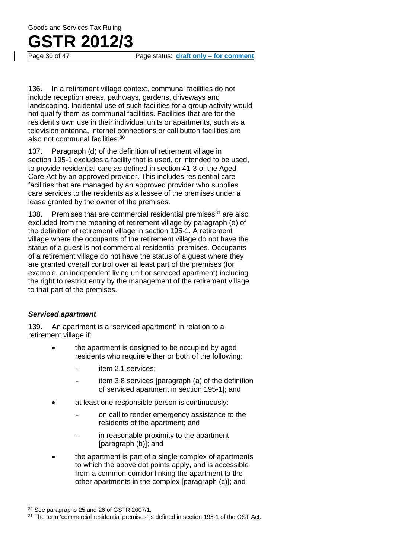Page status: draft only – for comment

136. In a retirement village context, communal facilities do not include reception areas, pathways, gardens, driveways and landscaping. Incidental use of such facilities for a group activity would not qualify them as communal facilities. Facilities that are for the resident's own use in their individual units or apartments, such as a television antenna, internet connections or call button facilities are also not communal facilities[.30](#page-29-0)

137. Paragraph (d) of the definition of retirement village in section 195-1 excludes a facility that is used, or intended to be used, to provide residential care as defined in section 41-3 of the Aged Care Act by an approved provider. This includes residential care facilities that are managed by an approved provider who supplies care services to the residents as a lessee of the premises under a lease granted by the owner of the premises.

138. Premises that are commercial residential premises $31$  are also excluded from the meaning of retirement village by paragraph (e) of the definition of retirement village in section 195-1. A retirement village where the occupants of the retirement village do not have the status of a guest is not commercial residential premises. Occupants of a retirement village do not have the status of a guest where they are granted overall control over at least part of the premises (for example, an independent living unit or serviced apartment) including the right to restrict entry by the management of the retirement village to that part of the premises.

#### *Serviced apartment*

139. An apartment is a 'serviced apartment' in relation to a retirement village if:

- the apartment is designed to be occupied by aged residents who require either or both of the following:
	- item 2.1 services:
	- item 3.8 services [paragraph (a) of the definition of serviced apartment in section 195-1]; and
- at least one responsible person is continuously:
	- on call to render emergency assistance to the residents of the apartment; and
	- in reasonable proximity to the apartment [paragraph (b)]; and
- the apartment is part of a single complex of apartments to which the above dot points apply, and is accessible from a common corridor linking the apartment to the other apartments in the complex [paragraph (c)]; and

<span id="page-29-0"></span><sup>30</sup> See paragraphs 25 and 26 of GSTR 2007/1.

<span id="page-29-1"></span><sup>&</sup>lt;sup>31</sup> The term 'commercial residential premises' is defined in section 195-1 of the GST Act.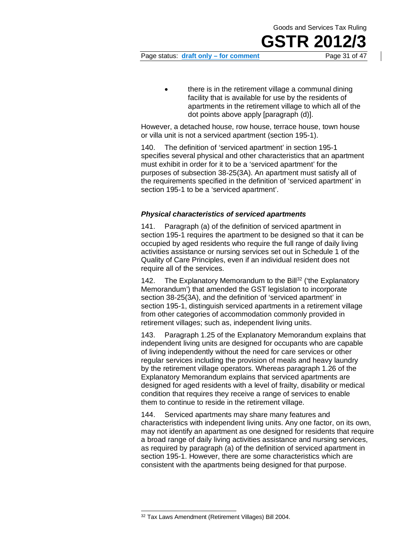## **GSTR 20**

Page status: **draft only – for comment** Page 31 of 47

• there is in the retirement village a communal dining facility that is available for use by the residents of apartments in the retirement village to which all of the dot points above apply [paragraph (d)].

However, a detached house, row house, terrace house, town house or villa unit is not a serviced apartment (section 195-1).

140. The definition of 'serviced apartment' in section 195-1 specifies several physical and other characteristics that an apartment must exhibit in order for it to be a 'serviced apartment' for the purposes of subsection 38-25(3A). An apartment must satisfy all of the requirements specified in the definition of 'serviced apartment' in section 195-1 to be a 'serviced apartment'.

#### *Physical characteristics of serviced apartments*

141. Paragraph (a) of the definition of serviced apartment in section 195-1 requires the apartment to be designed so that it can be occupied by aged residents who require the full range of daily living activities assistance or nursing services set out in Schedule 1 of the Quality of Care Principles, even if an individual resident does not require all of the services.

142. The Explanatory Memorandum to the Bill<sup>[32](#page-30-0)</sup> ('the Explanatory Memorandum') that amended the GST legislation to incorporate section 38-25(3A), and the definition of 'serviced apartment' in section 195-1, distinguish serviced apartments in a retirement village from other categories of accommodation commonly provided in retirement villages; such as, independent living units.

143. Paragraph 1.25 of the Explanatory Memorandum explains that independent living units are designed for occupants who are capable of living independently without the need for care services or other regular services including the provision of meals and heavy laundry by the retirement village operators. Whereas paragraph 1.26 of the Explanatory Memorandum explains that serviced apartments are designed for aged residents with a level of frailty, disability or medical condition that requires they receive a range of services to enable them to continue to reside in the retirement village.

144. Serviced apartments may share many features and characteristics with independent living units. Any one factor, on its own, may not identify an apartment as one designed for residents that require a broad range of daily living activities assistance and nursing services, as required by paragraph (a) of the definition of serviced apartment in section 195-1. However, there are some characteristics which are consistent with the apartments being designed for that purpose.

<span id="page-30-0"></span><sup>32</sup> Tax Laws Amendment (Retirement Villages) Bill 2004.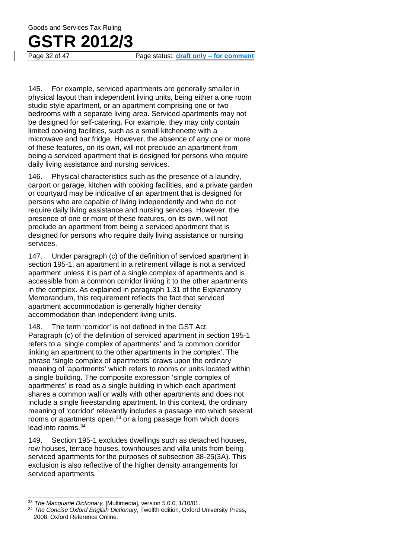# **GSTR 2012/3**<br>Page 32 of 47

Page status: draft only – for comment

145. For example, serviced apartments are generally smaller in physical layout than independent living units, being either a one room studio style apartment, or an apartment comprising one or two bedrooms with a separate living area. Serviced apartments may not be designed for self-catering. For example, they may only contain limited cooking facilities, such as a small kitchenette with a microwave and bar fridge. However, the absence of any one or more of these features, on its own, will not preclude an apartment from being a serviced apartment that is designed for persons who require daily living assistance and nursing services.

146. Physical characteristics such as the presence of a laundry, carport or garage, kitchen with cooking facilities, and a private garden or courtyard may be indicative of an apartment that is designed for persons who are capable of living independently and who do not require daily living assistance and nursing services. However, the presence of one or more of these features, on its own, will not preclude an apartment from being a serviced apartment that is designed for persons who require daily living assistance or nursing services.

147. Under paragraph (c) of the definition of serviced apartment in section 195-1, an apartment in a retirement village is not a serviced apartment unless it is part of a single complex of apartments and is accessible from a common corridor linking it to the other apartments in the complex. As explained in paragraph 1.31 of the Explanatory Memorandum, this requirement reflects the fact that serviced apartment accommodation is generally higher density accommodation than independent living units.

148. The term 'corridor' is not defined in the GST Act. Paragraph (c) of the definition of serviced apartment in section 195-1 refers to a 'single complex of apartments' and 'a common corridor linking an apartment to the other apartments in the complex'. The phrase 'single complex of apartments' draws upon the ordinary meaning of 'apartments' which refers to rooms or units located within a single building. The composite expression 'single complex of apartments' is read as a single building in which each apartment shares a common wall or walls with other apartments and does not include a single freestanding apartment. In this context, the ordinary meaning of 'corridor' relevantly includes a passage into which several rooms or apartments open,<sup>[33](#page-31-0)</sup> or a long passage from which doors lead into rooms.[34](#page-31-1)

149. Section 195-1 excludes dwellings such as detached houses, row houses, terrace houses, townhouses and villa units from being serviced apartments for the purposes of subsection 38-25(3A). This exclusion is also reflective of the higher density arrangements for serviced apartments.

<span id="page-31-0"></span><sup>33</sup> *The Macquarie Dictionary,* [Multimedia], version 5.0.0, 1/10/01.

<span id="page-31-1"></span><sup>34</sup> *The Concise Oxford English Dictionary*, Twelfth edition, Oxford University Press, 2008. Oxford Reference Online.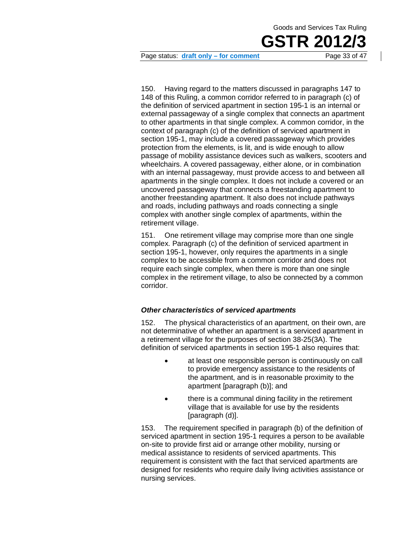

Page status: **draft only – for comment** Page 33 of 47

150. Having regard to the matters discussed in paragraphs 147 to 148 of this Ruling, a common corridor referred to in paragraph (c) of the definition of serviced apartment in section 195-1 is an internal or external passageway of a single complex that connects an apartment to other apartments in that single complex. A common corridor, in the context of paragraph (c) of the definition of serviced apartment in section 195-1, may include a covered passageway which provides protection from the elements, is lit, and is wide enough to allow passage of mobility assistance devices such as walkers, scooters and wheelchairs. A covered passageway, either alone, or in combination with an internal passageway, must provide access to and between all apartments in the single complex. It does not include a covered or an uncovered passageway that connects a freestanding apartment to another freestanding apartment. It also does not include pathways and roads, including pathways and roads connecting a single complex with another single complex of apartments, within the retirement village.

151. One retirement village may comprise more than one single complex. Paragraph (c) of the definition of serviced apartment in section 195-1, however, only requires the apartments in a single complex to be accessible from a common corridor and does not require each single complex, when there is more than one single complex in the retirement village, to also be connected by a common corridor.

#### *Other characteristics of serviced apartments*

152. The physical characteristics of an apartment, on their own, are not determinative of whether an apartment is a serviced apartment in a retirement village for the purposes of section 38-25(3A). The definition of serviced apartments in section 195-1 also requires that:

- at least one responsible person is continuously on call to provide emergency assistance to the residents of the apartment, and is in reasonable proximity to the apartment [paragraph (b)]; and
- there is a communal dining facility in the retirement village that is available for use by the residents [paragraph (d)].

153. The requirement specified in paragraph (b) of the definition of serviced apartment in section 195-1 requires a person to be available on-site to provide first aid or arrange other mobility, nursing or medical assistance to residents of serviced apartments. This requirement is consistent with the fact that serviced apartments are designed for residents who require daily living activities assistance or nursing services.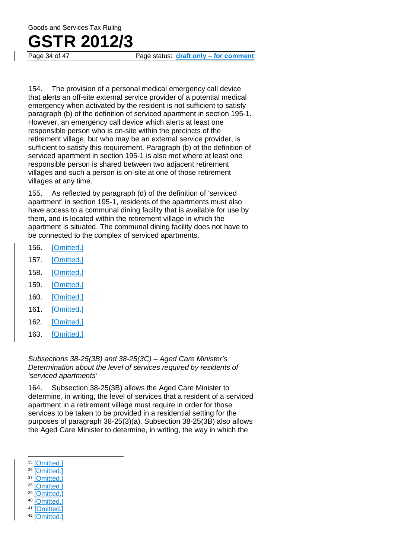### **GSTR 2012/3**

Page 34 of 47 Page status: **draft only – for comment**

154. The provision of a personal medical emergency call device that alerts an off-site external service provider of a potential medical emergency when activated by the resident is not sufficient to satisfy paragraph (b) of the definition of serviced apartment in section 195-1. However, an emergency call device which alerts at least one responsible person who is on-site within the precincts of the retirement village, but who may be an external service provider, is sufficient to satisfy this requirement. Paragraph (b) of the definition of serviced apartment in section 195-1 is also met where at least one responsible person is shared between two adjacent retirement villages and such a person is on-site at one of those retirement villages at any time.

155. As reflected by paragraph (d) of the definition of 'serviced apartment' in section 195-1, residents of the apartments must also have access to a communal dining facility that is available for use by them, and is located within the retirement village in which the apartment is situated. The communal dining facility does not have to be connected to the complex of serviced apartments.

- 156. [Omitted.]
- 157. [Omitted.]
- 158. [Omitted.]
- 159. [Omitted.]
- 160. [Omitted.]
- 161. [Omitted.]
- 162. [Omitted.]
- 163. [Omitted.]

*Subsections 38-25(3B) and 38-25(3C) – Aged Care Minister's Determination about the level of services required by residents of 'serviced apartments'*

164. Subsection 38-25(3B) allows the Aged Care Minister to determine, in writing, the level of services that a resident of a serviced apartment in a retirement village must require in order for those services to be taken to be provided in a residential setting for the purposes of paragraph 38-25(3)(a). Subsection 38-25(3B) also allows the Aged Care Minister to determine, in writing, the way in which the

- <span id="page-33-3"></span><sup>38</sup> [Omitted.]
- <span id="page-33-4"></span>**Comitted**
- <span id="page-33-5"></span><sup>40</sup> [Omitted.]
- <span id="page-33-7"></span><span id="page-33-6"></span><sup>41</sup> [Omitted.] <sup>42</sup> [Omitted.]

<span id="page-33-0"></span><sup>&</sup>lt;sup>35</sup> [Omitted.]

<span id="page-33-1"></span><sup>&</sup>lt;sup>36</sup> [Omitted.]

<span id="page-33-2"></span><sup>&</sup>lt;sup>37</sup> [Omitted.]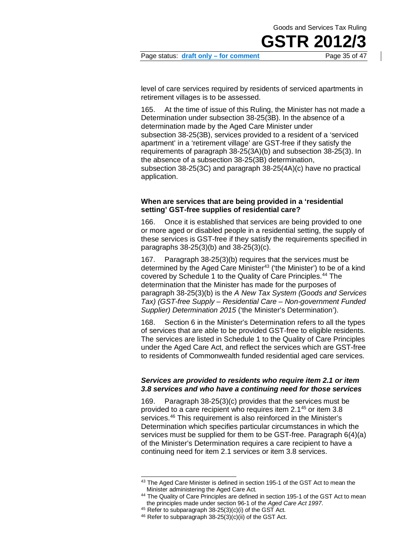Page status: **draft only – for comment** Page 35 of 47

level of care services required by residents of serviced apartments in retirement villages is to be assessed.

165. At the time of issue of this Ruling, the Minister has not made a Determination under subsection 38-25(3B). In the absence of a determination made by the Aged Care Minister under subsection 38-25(3B), services provided to a resident of a 'serviced apartment' in a 'retirement village' are GST-free if they satisfy the requirements of paragraph 38-25(3A)(b) and subsection 38-25(3). In the absence of a subsection 38-25(3B) determination, subsection 38-25(3C) and paragraph 38-25(4A)(c) have no practical application.

#### **When are services that are being provided in a 'residential setting' GST-free supplies of residential care?**

166. Once it is established that services are being provided to one or more aged or disabled people in a residential setting, the supply of these services is GST-free if they satisfy the requirements specified in paragraphs 38-25(3)(b) and 38-25(3)(c).

167. Paragraph 38-25(3)(b) requires that the services must be determined by the Aged Care Minister<sup>43</sup> ('the Minister') to be of a kind covered by Schedule 1 to the Quality of Care Principles. [44](#page-34-1) The determination that the Minister has made for the purposes of paragraph 38-25(3)(b) is the *A New Tax System (Goods and Services Tax) (GST-free Supply – Residential Care – Non-government Funded Supplier) Determination 2015* ('the Minister's Determination').

168. Section 6 in the Minister's Determination refers to all the types of services that are able to be provided GST-free to eligible residents. The services are listed in Schedule 1 to the Quality of Care Principles under the Aged Care Act, and reflect the services which are GST-free to residents of Commonwealth funded residential aged care services.

#### *Services are provided to residents who require item 2.1 or item 3.8 services and who have a continuing need for those services*

169. Paragraph 38-25(3)(c) provides that the services must be provided to a care recipient who requires item 2.1[45](#page-34-2) or item 3.8 services.<sup>[46](#page-34-3)</sup> This requirement is also reinforced in the Minister's Determination which specifies particular circumstances in which the services must be supplied for them to be GST-free. Paragraph 6(4)(a) of the Minister's Determination requires a care recipient to have a continuing need for item 2.1 services or item 3.8 services.

<span id="page-34-0"></span><sup>43</sup> The Aged Care Minister is defined in section 195-1 of the GST Act to mean the Minister administering the Aged Care Act*.*

<span id="page-34-1"></span><sup>&</sup>lt;sup>44</sup> The Quality of Care Principles are defined in section 195-1 of the GST Act to mean the principles made under section 96-1 of the *Aged Care Act 1997*.

<span id="page-34-2"></span> $45$  Refer to subparagraph 38-25(3)(c)(i) of the GST Act.

<span id="page-34-3"></span> $46$  Refer to subparagraph 38-25(3)(c)(ii) of the GST Act.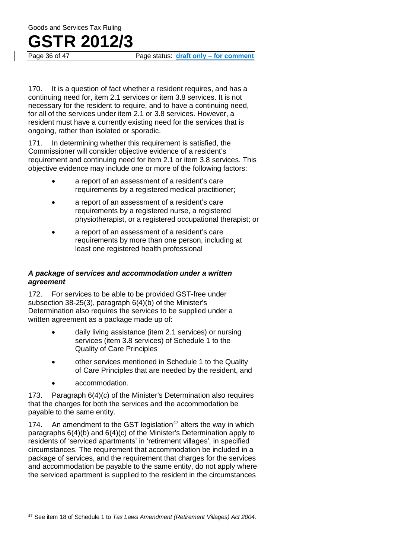## **GSTR 2012/3**

Page status: draft only – for comment

170. It is a question of fact whether a resident requires, and has a continuing need for, item 2.1 services or item 3.8 services. It is not necessary for the resident to require, and to have a continuing need, for all of the services under item 2.1 or 3.8 services. However, a resident must have a currently existing need for the services that is ongoing, rather than isolated or sporadic.

171. In determining whether this requirement is satisfied, the Commissioner will consider objective evidence of a resident's requirement and continuing need for item 2.1 or item 3.8 services. This objective evidence may include one or more of the following factors:

- a report of an assessment of a resident's care requirements by a registered medical practitioner;
- a report of an assessment of a resident's care requirements by a registered nurse, a registered physiotherapist, or a registered occupational therapist; or
- a report of an assessment of a resident's care requirements by more than one person, including at least one registered health professional

#### *A package of services and accommodation under a written agreement*

172. For services to be able to be provided GST-free under subsection 38-25(3), paragraph 6(4)(b) of the Minister's Determination also requires the services to be supplied under a written agreement as a package made up of:

- daily living assistance (item 2.1 services) or nursing services (item 3.8 services) of Schedule 1 to the Quality of Care Principles
- other services mentioned in Schedule 1 to the Quality of Care Principles that are needed by the resident, and
- accommodation.

173. Paragraph 6(4)(c) of the Minister's Determination also requires that the charges for both the services and the accommodation be payable to the same entity.

174. An amendment to the GST legislation<sup>47</sup> alters the way in which paragraphs 6(4)(b) and 6(4)(c) of the Minister's Determination apply to residents of 'serviced apartments' in 'retirement villages', in specified circumstances. The requirement that accommodation be included in a package of services, and the requirement that charges for the services and accommodation be payable to the same entity, do not apply where the serviced apartment is supplied to the resident in the circumstances

<span id="page-35-0"></span><sup>47</sup> See item 18 of Schedule 1 to *Tax Laws Amendment (Retirement Villages) Act 2004*.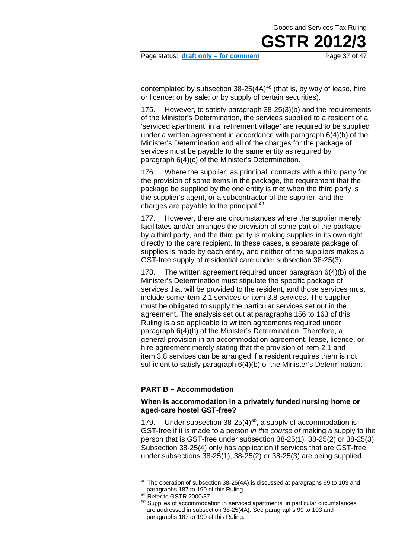**GSTR 20** 



contemplated by subsection  $38-25(4A)^{48}$  $38-25(4A)^{48}$  $38-25(4A)^{48}$  (that is, by way of lease, hire or licence; or by sale; or by supply of certain securities).

175. However, to satisfy paragraph 38-25(3)(b) and the requirements of the Minister's Determination, the services supplied to a resident of a 'serviced apartment' in a 'retirement village' are required to be supplied under a written agreement in accordance with paragraph 6(4)(b) of the Minister's Determination and all of the charges for the package of services must be payable to the same entity as required by paragraph 6(4)(c) of the Minister's Determination.

176. Where the supplier, as principal, contracts with a third party for the provision of some items in the package, the requirement that the package be supplied by the one entity is met when the third party is the supplier's agent, or a subcontractor of the supplier, and the charges are payable to the principal[.49](#page-36-1)

177. However, there are circumstances where the supplier merely facilitates and/or arranges the provision of some part of the package by a third party, and the third party is making supplies in its own right directly to the care recipient. In these cases, a separate package of supplies is made by each entity, and neither of the suppliers makes a GST-free supply of residential care under subsection 38-25(3).

178. The written agreement required under paragraph 6(4)(b) of the Minister's Determination must stipulate the specific package of services that will be provided to the resident, and those services must include some item 2.1 services or item 3.8 services. The supplier must be obligated to supply the particular services set out in the agreement. The analysis set out at paragraphs 156 to 163 of this Ruling is also applicable to written agreements required under paragraph 6(4)(b) of the Minister's Determination. Therefore, a general provision in an accommodation agreement, lease, licence, or hire agreement merely stating that the provision of item 2.1 and item 3.8 services can be arranged if a resident requires them is not sufficient to satisfy paragraph 6(4)(b) of the Minister's Determination.

#### **PART B – Accommodation**

#### **When is accommodation in a privately funded nursing home or aged-care hostel GST-free?**

179. Under subsection  $38-25(4)^{50}$ , a supply of accommodation is GST-free if it is made to a person *in the course of* making a supply to the person that is GST-free under subsection 38-25(1), 38-25(2) or 38-25(3). Subsection 38-25(4) only has application if services that are GST-free under subsections 38-25(1), 38-25(2) or 38-25(3) are being supplied.

<span id="page-36-0"></span><sup>48</sup> The operation of subsection 38-25(4A) is discussed at paragraphs 99 to 103 and paragraphs 187 to 190 of this Ruling.

<span id="page-36-1"></span><sup>49</sup> Refer to GSTR 2000/37.

<span id="page-36-2"></span><sup>&</sup>lt;sup>50</sup> Supplies of accommodation in serviced apartments, in particular circumstances, are addressed in subsection 38-25(4A). See paragraphs 99 to 103 and paragraphs 187 to 190 of this Ruling.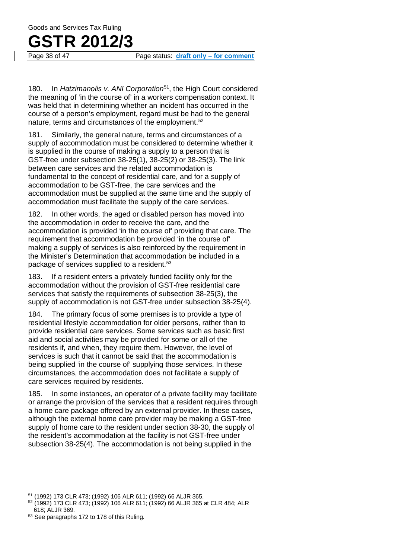Page 38 of 47 Page status: **draft only – for comment**

180. In *Hatzimanolis v. ANI Corporation*[51,](#page-37-0) the High Court considered the meaning of 'in the course of' in a workers compensation context. It was held that in determining whether an incident has occurred in the course of a person's employment, regard must be had to the general nature, terms and circumstances of the employment.<sup>[52](#page-37-1)</sup>

181. Similarly, the general nature, terms and circumstances of a supply of accommodation must be considered to determine whether it is supplied in the course of making a supply to a person that is GST-free under subsection 38-25(1), 38-25(2) or 38-25(3). The link between care services and the related accommodation is fundamental to the concept of residential care, and for a supply of accommodation to be GST-free, the care services and the accommodation must be supplied at the same time and the supply of accommodation must facilitate the supply of the care services.

182. In other words, the aged or disabled person has moved into the accommodation in order to receive the care, and the accommodation is provided 'in the course of' providing that care. The requirement that accommodation be provided 'in the course of' making a supply of services is also reinforced by the requirement in the Minister's Determination that accommodation be included in a package of services supplied to a resident.<sup>[53](#page-37-2)</sup>

183. If a resident enters a privately funded facility only for the accommodation without the provision of GST-free residential care services that satisfy the requirements of subsection 38-25(3), the supply of accommodation is not GST-free under subsection 38-25(4).

184. The primary focus of some premises is to provide a type of residential lifestyle accommodation for older persons, rather than to provide residential care services. Some services such as basic first aid and social activities may be provided for some or all of the residents if, and when, they require them. However, the level of services is such that it cannot be said that the accommodation is being supplied 'in the course of' supplying those services. In these circumstances, the accommodation does not facilitate a supply of care services required by residents.

185. In some instances, an operator of a private facility may facilitate or arrange the provision of the services that a resident requires through a home care package offered by an external provider. In these cases, although the external home care provider may be making a GST-free supply of home care to the resident under section 38-30, the supply of the resident's accommodation at the facility is not GST-free under subsection 38-25(4). The accommodation is not being supplied in the

<span id="page-37-0"></span><sup>51</sup> (1992) 173 CLR 473; (1992) 106 ALR 611; (1992) 66 ALJR 365.

<span id="page-37-1"></span><sup>52</sup> (1992) 173 CLR 473; (1992) 106 ALR 611; (1992) 66 ALJR 365 at CLR 484; ALR 618; ALJR 369.

<span id="page-37-2"></span><sup>53</sup> See paragraphs 172 to 178 of this Ruling.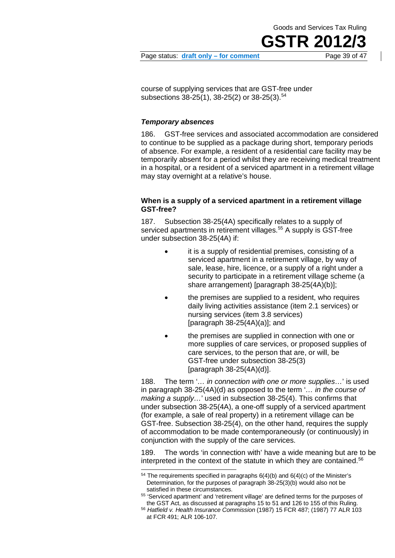Page status: **draft only – for comment** Page 39 of 47

course of supplying services that are GST-free under subsections 38-25(1), 38-25(2) or 38-25(3).<sup>[54](#page-38-0)</sup>

#### *Temporary absences*

186. GST-free services and associated accommodation are considered to continue to be supplied as a package during short, temporary periods of absence. For example, a resident of a residential care facility may be temporarily absent for a period whilst they are receiving medical treatment in a hospital, or a resident of a serviced apartment in a retirement village may stay overnight at a relative's house.

#### **When is a supply of a serviced apartment in a retirement village GST-free?**

187. Subsection 38-25(4A) specifically relates to a supply of serviced apartments in retirement villages.<sup>[55](#page-38-1)</sup> A supply is GST-free under subsection 38-25(4A) if:

- it is a supply of residential premises, consisting of a serviced apartment in a retirement village, by way of sale, lease, hire, licence, or a supply of a right under a security to participate in a retirement village scheme (a share arrangement) [paragraph 38-25(4A)(b)];
- the premises are supplied to a resident, who requires daily living activities assistance (item 2.1 services) or nursing services (item 3.8 services) [paragraph 38-25(4A)(a)]; and
- the premises are supplied in connection with one or more supplies of care services, or proposed supplies of care services, to the person that are, or will, be GST-free under subsection 38-25(3) [paragraph 38-25(4A)(d)].

188. The term '*… in connection with one or more supplies…*' is used in paragraph 38-25(4A)(d) as opposed to the term '*… in the course of making a supply…*' used in subsection 38-25(4). This confirms that under subsection 38-25(4A), a one-off supply of a serviced apartment (for example, a sale of real property) in a retirement village can be GST-free. Subsection 38-25(4), on the other hand, requires the supply of accommodation to be made contemporaneously (or continuously) in conjunction with the supply of the care services.

189. The words 'in connection with' have a wide meaning but are to be interpreted in the context of the statute in which they are contained.<sup>56</sup>

 $54$  The requirements specified in paragraphs  $6(4)(b)$  and  $6(4)(c)$  of the Minister's Determination, for the purposes of paragraph 38-25(3)(b) would also not be satisfied in these circumstances.

<span id="page-38-2"></span><span id="page-38-1"></span><span id="page-38-0"></span><sup>55</sup> 'Serviced apartment' and 'retirement village' are defined terms for the purposes of the GST Act, as discussed at paragraphs 15 to 51 and 126 to 155 of this Ruling.

<sup>56</sup> *Hatfield v. Health Insurance Commission* (1987) 15 FCR 487; (1987) 77 ALR 103 at FCR 491; ALR 106-107.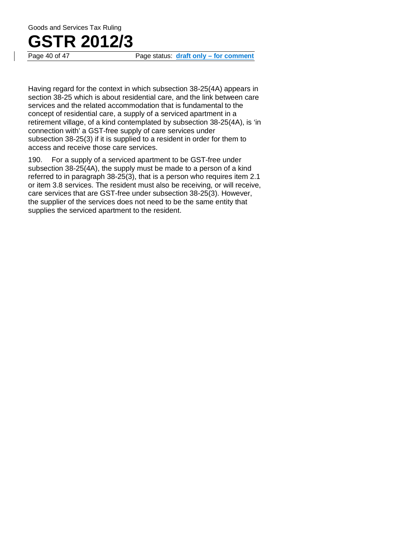

Page status: draft only – for comment

Having regard for the context in which subsection 38-25(4A) appears in section 38-25 which is about residential care, and the link between care services and the related accommodation that is fundamental to the concept of residential care, a supply of a serviced apartment in a retirement village, of a kind contemplated by subsection 38-25(4A), is 'in connection with' a GST-free supply of care services under subsection 38-25(3) if it is supplied to a resident in order for them to access and receive those care services.

190. For a supply of a serviced apartment to be GST-free under subsection 38-25(4A), the supply must be made to a person of a kind referred to in paragraph 38-25(3), that is a person who requires item 2.1 or item 3.8 services. The resident must also be receiving, or will receive, care services that are GST-free under subsection 38-25(3). However, the supplier of the services does not need to be the same entity that supplies the serviced apartment to the resident.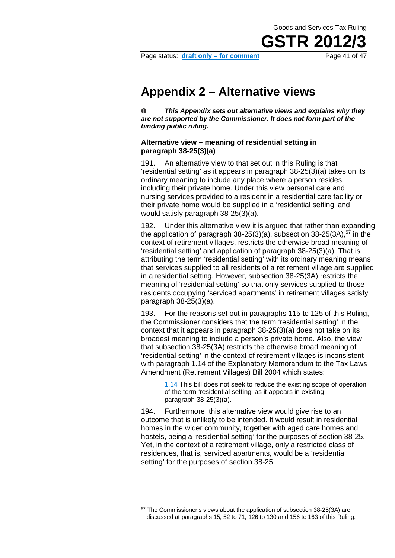Page status: **draft only – for comment** Page 41 of 47

### **Appendix 2 – Alternative views**

 $\bf{0}$ *This Appendix sets out alternative views and explains why they are not supported by the Commissioner. It does not form part of the binding public ruling.*

#### **Alternative view – meaning of residential setting in paragraph 38-25(3)(a)**

<span id="page-40-0"></span>191. An alternative view to that set out in this Ruling is that 'residential setting' as it appears in paragraph 38-25(3)(a) takes on its ordinary meaning to include any place where a person resides, including their private home. Under this view personal care and nursing services provided to a resident in a residential care facility or their private home would be supplied in a 'residential setting' and would satisfy paragraph 38-25(3)(a).

192. Under this alternative view it is argued that rather than expanding the application of paragraph  $38-25(3)(a)$ , subsection  $38-25(3A)$ ,  $57$  in the context of retirement villages, restricts the otherwise broad meaning of 'residential setting' and application of paragraph 38-25(3)(a). That is, attributing the term 'residential setting' with its ordinary meaning means that services supplied to all residents of a retirement village are supplied in a residential setting. However, subsection 38-25(3A) restricts the meaning of 'residential setting' so that only services supplied to those residents occupying 'serviced apartments' in retirement villages satisfy paragraph 38-25(3)(a).

193. For the reasons set out in paragraphs 115 to 125 of this Ruling, the Commissioner considers that the term 'residential setting' in the context that it appears in paragraph 38-25(3)(a) does not take on its broadest meaning to include a person's private home. Also, the view that subsection 38-25(3A) restricts the otherwise broad meaning of 'residential setting' in the context of retirement villages is inconsistent with paragraph 1.14 of the Explanatory Memorandum to the Tax Laws Amendment (Retirement Villages) Bill 2004 which states:

> 1.14 This bill does not seek to reduce the existing scope of operation of the term 'residential setting' as it appears in existing paragraph 38-25(3)(a).

194. Furthermore, this alternative view would give rise to an outcome that is unlikely to be intended. It would result in residential homes in the wider community, together with aged care homes and hostels, being a 'residential setting' for the purposes of section 38-25. Yet, in the context of a retirement village, only a restricted class of residences, that is, serviced apartments, would be a 'residential setting' for the purposes of section 38-25.

<span id="page-40-1"></span><sup>57</sup> The Commissioner's views about the application of subsection 38-25(3A) are discussed at paragraphs 15, 52 to 71, 126 to 130 and 156 to 163 of this Ruling.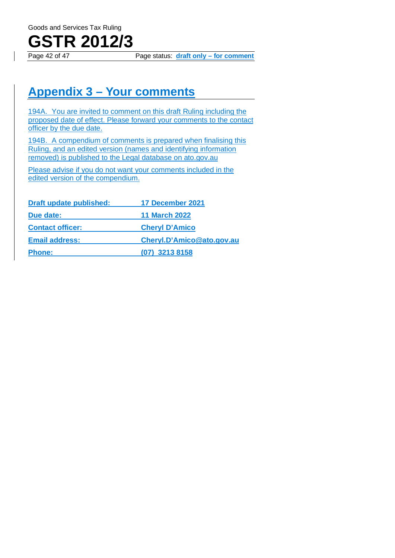

Page status: **draft only – for comment** 

### **Appendix 3 – Your comments**

194A. You are invited to comment on this draft Ruling including the proposed date of effect. Please forward your comments to the contact officer by the due date.

194B. A compendium of comments is prepared when finalising this Ruling, and an edited version (names and identifying information removed) is published to the Legal database on ato.gov.au

Please advise if you do not want your comments included in the edited version of the compendium.

| <b>Draft update published:</b> | 17 December 2021          |
|--------------------------------|---------------------------|
| Due date:                      | <b>11 March 2022</b>      |
| <b>Contact officer:</b>        | <b>Cheryl D'Amico</b>     |
| <b>Email address:</b>          | Cheryl.D'Amico@ato.gov.au |
| <b>Phone:</b>                  | $(07)$ 3213 8158          |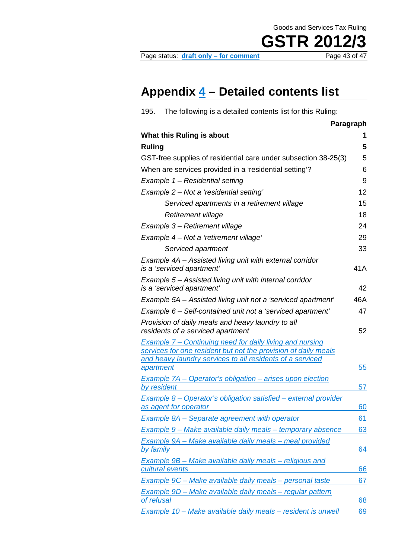#### Page status: **draft only – for comment**

**GSTR 2012/3** 

### **Appendix 4 – Detailed contents list**

<span id="page-42-0"></span>

| 195.          | The following is a detailed contents list for this Ruling:                                                                                                                              |           |
|---------------|-----------------------------------------------------------------------------------------------------------------------------------------------------------------------------------------|-----------|
|               |                                                                                                                                                                                         | Paragraph |
|               | What this Ruling is about                                                                                                                                                               | 1         |
| <b>Ruling</b> |                                                                                                                                                                                         | 5         |
|               | GST-free supplies of residential care under subsection 38-25(3)                                                                                                                         | 5         |
|               | When are services provided in a 'residential setting'?                                                                                                                                  | 6         |
|               | Example 1 – Residential setting                                                                                                                                                         | 9         |
|               | Example 2 - Not a 'residential setting'                                                                                                                                                 | 12        |
|               | Serviced apartments in a retirement village                                                                                                                                             | 15        |
|               | <b>Retirement village</b>                                                                                                                                                               | 18        |
|               | Example 3 – Retirement village                                                                                                                                                          | 24        |
|               | Example 4 - Not a 'retirement village'                                                                                                                                                  | 29        |
|               | Serviced apartment                                                                                                                                                                      | 33        |
|               | Example 4A - Assisted living unit with external corridor<br>is a 'serviced apartment'                                                                                                   | 41A       |
|               | Example 5 – Assisted living unit with internal corridor<br>is a 'serviced apartment'                                                                                                    | 42        |
|               | Example 5A – Assisted living unit not a 'serviced apartment'                                                                                                                            | 46A       |
|               | Example 6 - Self-contained unit not a 'serviced apartment'                                                                                                                              | 47        |
|               | Provision of daily meals and heavy laundry to all<br>residents of a serviced apartment                                                                                                  | 52        |
| apartment     | Example 7 – Continuing need for daily living and nursing<br>services for one resident but not the provision of daily meals<br>and heavy laundry services to all residents of a serviced | 55        |
| by resident   | <b>Example 7A - Operator's obligation - arises upon election</b>                                                                                                                        | 57        |
|               | Example 8 - Operator's obligation satisfied - external provider<br>as agent for operator                                                                                                | 60        |
|               | <b>Example 8A - Separate agreement with operator</b>                                                                                                                                    | 61        |
|               | Example 9 – Make available daily meals – temporary absence                                                                                                                              | 63        |
| by family     | Example 9A - Make available daily meals - meal provided                                                                                                                                 | 64        |
|               | Example 9B – Make available daily meals – religious and<br>cultural events                                                                                                              | 66        |
|               | Example 9C – Make available daily meals – personal taste                                                                                                                                | 67        |
| of refusal    | <u> Example 9D – Make available daily meals – regular pattern</u>                                                                                                                       | 68        |
|               | Example 10 - Make available daily meals - resident is unwell                                                                                                                            | 69        |
|               |                                                                                                                                                                                         |           |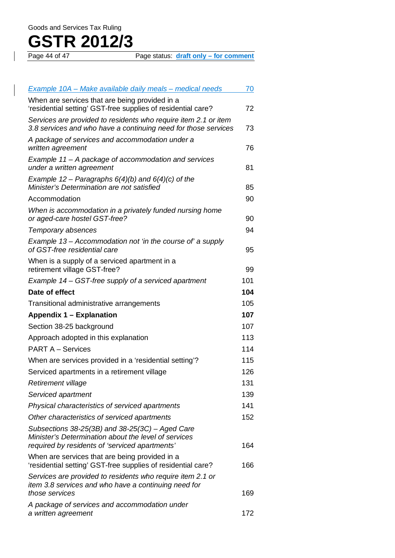# **GSTR 2012/3**

Page status: **draft only – for comment** 

| <b>Example 10A – Make available daily meals – medical needs</b>                                                                                               | 70  |
|---------------------------------------------------------------------------------------------------------------------------------------------------------------|-----|
| When are services that are being provided in a<br>'residential setting' GST-free supplies of residential care?                                                | 72  |
| Services are provided to residents who require item 2.1 or item<br>3.8 services and who have a continuing need for those services                             | 73  |
| A package of services and accommodation under a<br>written agreement                                                                                          | 76  |
| Example 11 – A package of accommodation and services<br>under a written agreement                                                                             | 81  |
| Example 12 – Paragraphs $6(4)(b)$ and $6(4)(c)$ of the<br>Minister's Determination are not satisfied                                                          | 85  |
| Accommodation                                                                                                                                                 | 90  |
| When is accommodation in a privately funded nursing home<br>or aged-care hostel GST-free?                                                                     | 90  |
| Temporary absences                                                                                                                                            | 94  |
| Example 13 – Accommodation not 'in the course of' a supply<br>of GST-free residential care                                                                    | 95  |
| When is a supply of a serviced apartment in a<br>retirement village GST-free?                                                                                 | 99  |
| Example 14 - GST-free supply of a serviced apartment                                                                                                          | 101 |
| Date of effect                                                                                                                                                | 104 |
| Transitional administrative arrangements                                                                                                                      | 105 |
| <b>Appendix 1 – Explanation</b>                                                                                                                               | 107 |
| Section 38-25 background                                                                                                                                      | 107 |
| Approach adopted in this explanation                                                                                                                          | 113 |
| <b>PART A - Services</b>                                                                                                                                      | 114 |
| When are services provided in a 'residential setting'?                                                                                                        | 115 |
| Serviced apartments in a retirement village                                                                                                                   | 126 |
| Retirement village                                                                                                                                            | 131 |
| Serviced apartment                                                                                                                                            | 139 |
| Physical characteristics of serviced apartments                                                                                                               | 141 |
| Other characteristics of serviced apartments                                                                                                                  | 152 |
| Subsections $38-25(3B)$ and $38-25(3C)$ – Aged Care<br>Minister's Determination about the level of services<br>required by residents of 'serviced apartments' | 164 |
| When are services that are being provided in a<br>'residential setting' GST-free supplies of residential care?                                                | 166 |
| Services are provided to residents who require item 2.1 or<br>item 3.8 services and who have a continuing need for<br>those services                          | 169 |
| A package of services and accommodation under<br>a written agreement                                                                                          | 172 |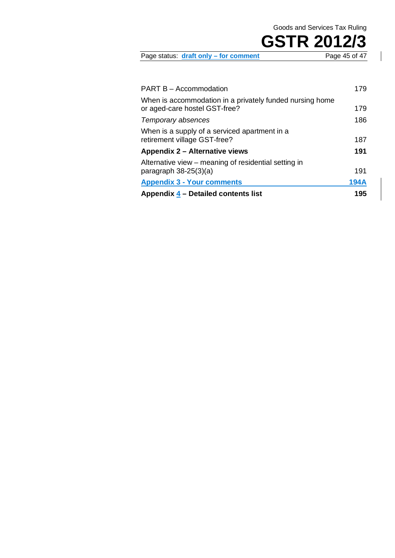| Page status: draft only - for comment | Page 45 of 47 |
|---------------------------------------|---------------|
|                                       |               |

| Appendix 4 – Detailed contents list                                                       | 195         |
|-------------------------------------------------------------------------------------------|-------------|
| <b>Appendix 3 - Your comments</b>                                                         | <b>194A</b> |
| Alternative view – meaning of residential setting in<br>paragraph $38-25(3)(a)$           | 191         |
| Appendix 2 – Alternative views                                                            | 191         |
| When is a supply of a serviced apartment in a<br>retirement village GST-free?             | 187         |
| Temporary absences                                                                        | 186         |
| When is accommodation in a privately funded nursing home<br>or aged-care hostel GST-free? | 179         |
| <b>PART B - Accommodation</b>                                                             | 179         |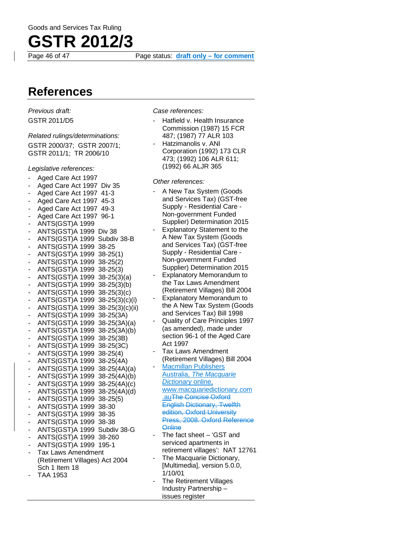

Page 46 of 47 Page status: **draft only – for comment**

### **References**

*Previous draft:* GSTR 2011/D5

#### *Related rulings/determinations:*

GSTR 2000/37; GSTR 2007/1; GSTR 2011/1; TR 2006/10

*Legislative references:*

- Aged Care Act 1997
- Aged Care Act 1997 Div 35
- Aged Care Act 1997 41-3
- Aged Care Act 1997 45-3
- Aged Care Act 1997 49-3 - Aged Care Act 1997 96-1
- ANTS(GST)A 1999
- ANTS(GST)A 1999 Div 38
- ANTS(GST)A 1999 Subdiv 38-B
- 
- ANTS(GST)A 1999 38-25 - ANTS(GST)A 1999 38-25(1)
- ANTS(GST)A 1999 38-25(2)
- ANTS(GST)A 1999 38-25(3)
- ANTS(GST)A 1999 38-25(3)(a)
- ANTS(GST)A 1999 38-25(3)(b)
- ANTS(GST)A 1999 38-25(3)(c)
- ANTS(GST)A 1999 38-25(3)(c)(i)
- ANTS(GST)A 1999 38-25(3)(c)(ii) - ANTS(GST)A 1999 38-25(3A)
- ANTS(GST)A 1999 38-25(3A)(a)
- ANTS(GST)A 1999 38-25(3A)(b)
- ANTS(GST)A 1999 38-25(3B)
- ANTS(GST)A 1999 38-25(3C)
- ANTS(GST)A 1999 38-25(4)
- ANTS(GST)A 1999 38-25(4A) - ANTS(GST)A 1999 38-25(4A)(a)
- ANTS(GST)A 1999 38-25(4A)(b)
- ANTS(GST)A 1999 38-25(4A)(c)
- ANTS(GST)A 1999 38-25(4A)(d)
- ANTS(GST)A 1999 38-25(5)
- ANTS(GST)A 1999 38-30
- ANTS(GST)A 1999 38-35
- ANTS(GST)A 1999 38-38
- ANTS(GST)A 1999 Subdiv 38-G
- ANTS(GST)A 1999 38-260
- ANTS(GST)A 1999 195-1
- Tax Laws Amendment (Retirement Villages) Act 2004 Sch 1 Item 18
- TAA 1953

*Case references:*

- Hatfield v. Health Insurance Commission (1987) 15 FCR 487; (1987) 77 ALR 103
- Hatzimanolis v. ANI Corporation (1992) 173 CLR 473; (1992) 106 ALR 611; (1992) 66 ALJR 365

*Other references:*

- A New Tax System (Goods and Services Tax) (GST-free Supply - Residential Care - Non-government Funded Supplier) Determination 2015
- Explanatory Statement to the A New Tax System (Goods and Services Tax) (GST-free Supply - Residential Care - Non-government Funded Supplier) Determination 2015
- **Explanatory Memorandum to** the Tax Laws Amendment (Retirement Villages) Bill 2004
- Explanatory Memorandum to the A New Tax System (Goods and Services Tax) Bill 1998
- Quality of Care Principles 1997 (as amended), made under section 96-1 of the Aged Care Act 1997
- Tax Laws Amendment (Retirement Villages) Bill 2004
- Macmillan Publishers Australia, *The Macquarie Dictionary* online, [www.macquariedictionary.com](http://www.macquariedictionary.com.au/) [.auT](http://www.macquariedictionary.com.au/)he Concise Oxford English Dictionary, Twelfth edition, Oxford University Press, 2008. Oxford Reference **Online**
- The fact sheet  $-$  'GST and serviced apartments in retirement villages': NAT 12761
- The Macquarie Dictionary, [Multimedia], version 5.0.0, 1/10/01
- The Retirement Villages Industry Partnership – issues register